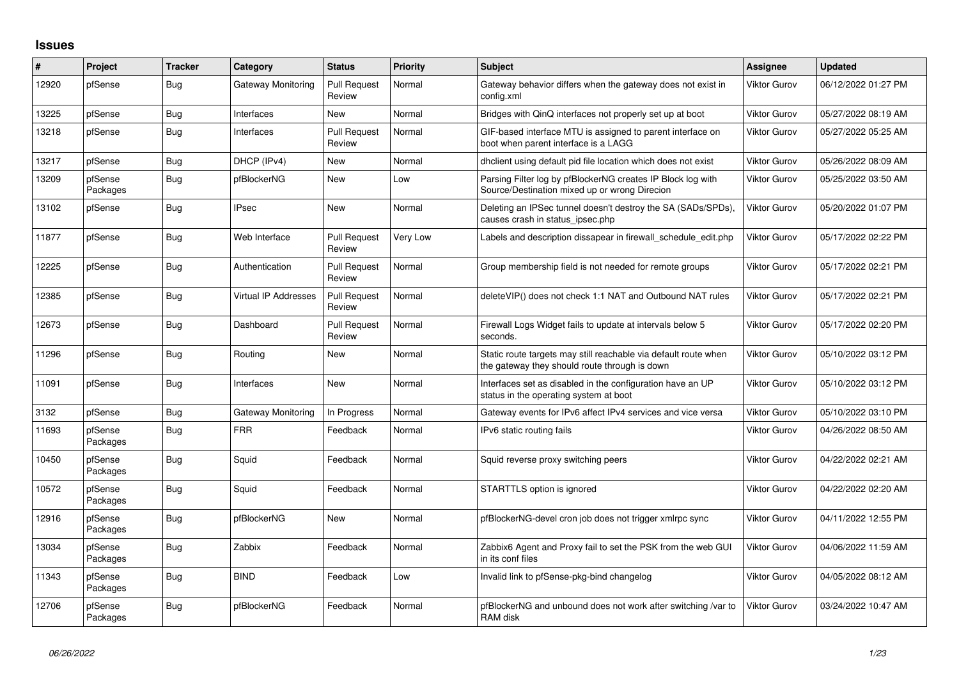## **Issues**

| ∦     | Project             | <b>Tracker</b> | Category                    | <b>Status</b>                 | <b>Priority</b> | <b>Subject</b>                                                                                                   | <b>Assignee</b> | <b>Updated</b>      |
|-------|---------------------|----------------|-----------------------------|-------------------------------|-----------------|------------------------------------------------------------------------------------------------------------------|-----------------|---------------------|
| 12920 | pfSense             | <b>Bug</b>     | Gateway Monitoring          | <b>Pull Request</b><br>Review | Normal          | Gateway behavior differs when the gateway does not exist in<br>config.xml                                        | Viktor Gurov    | 06/12/2022 01:27 PM |
| 13225 | pfSense             | <b>Bug</b>     | Interfaces                  | <b>New</b>                    | Normal          | Bridges with QinQ interfaces not properly set up at boot                                                         | Viktor Gurov    | 05/27/2022 08:19 AM |
| 13218 | pfSense             | <b>Bug</b>     | Interfaces                  | <b>Pull Request</b><br>Review | Normal          | GIF-based interface MTU is assigned to parent interface on<br>boot when parent interface is a LAGG               | Viktor Gurov    | 05/27/2022 05:25 AM |
| 13217 | pfSense             | <b>Bug</b>     | DHCP (IPv4)                 | <b>New</b>                    | Normal          | dhclient using default pid file location which does not exist                                                    | Viktor Gurov    | 05/26/2022 08:09 AM |
| 13209 | pfSense<br>Packages | <b>Bug</b>     | pfBlockerNG                 | <b>New</b>                    | Low             | Parsing Filter log by pfBlockerNG creates IP Block log with<br>Source/Destination mixed up or wrong Direcion     | Viktor Gurov    | 05/25/2022 03:50 AM |
| 13102 | pfSense             | <b>Bug</b>     | <b>IPsec</b>                | <b>New</b>                    | Normal          | Deleting an IPSec tunnel doesn't destroy the SA (SADs/SPDs),<br>causes crash in status ipsec.php                 | Viktor Gurov    | 05/20/2022 01:07 PM |
| 11877 | pfSense             | Bug            | Web Interface               | <b>Pull Request</b><br>Review | Very Low        | Labels and description dissapear in firewall schedule edit.php                                                   | Viktor Gurov    | 05/17/2022 02:22 PM |
| 12225 | pfSense             | Bug            | Authentication              | <b>Pull Request</b><br>Review | Normal          | Group membership field is not needed for remote groups                                                           | Viktor Gurov    | 05/17/2022 02:21 PM |
| 12385 | pfSense             | <b>Bug</b>     | <b>Virtual IP Addresses</b> | <b>Pull Request</b><br>Review | Normal          | delete VIP() does not check 1:1 NAT and Outbound NAT rules                                                       | Viktor Gurov    | 05/17/2022 02:21 PM |
| 12673 | pfSense             | <b>Bug</b>     | Dashboard                   | <b>Pull Request</b><br>Review | Normal          | Firewall Logs Widget fails to update at intervals below 5<br>seconds.                                            | Viktor Gurov    | 05/17/2022 02:20 PM |
| 11296 | pfSense             | <b>Bug</b>     | Routing                     | <b>New</b>                    | Normal          | Static route targets may still reachable via default route when<br>the gateway they should route through is down | Viktor Gurov    | 05/10/2022 03:12 PM |
| 11091 | pfSense             | <b>Bug</b>     | Interfaces                  | New                           | Normal          | Interfaces set as disabled in the configuration have an UP<br>status in the operating system at boot             | Viktor Gurov    | 05/10/2022 03:12 PM |
| 3132  | pfSense             | <b>Bug</b>     | Gateway Monitoring          | In Progress                   | Normal          | Gateway events for IPv6 affect IPv4 services and vice versa                                                      | Viktor Gurov    | 05/10/2022 03:10 PM |
| 11693 | pfSense<br>Packages | Bug            | <b>FRR</b>                  | Feedback                      | Normal          | IPv6 static routing fails                                                                                        | Viktor Gurov    | 04/26/2022 08:50 AM |
| 10450 | pfSense<br>Packages | <b>Bug</b>     | Squid                       | Feedback                      | Normal          | Squid reverse proxy switching peers                                                                              | Viktor Gurov    | 04/22/2022 02:21 AM |
| 10572 | pfSense<br>Packages | <b>Bug</b>     | Squid                       | Feedback                      | Normal          | STARTTLS option is ignored                                                                                       | Viktor Gurov    | 04/22/2022 02:20 AM |
| 12916 | pfSense<br>Packages | <b>Bug</b>     | pfBlockerNG                 | <b>New</b>                    | Normal          | pfBlockerNG-devel cron job does not trigger xmlrpc sync                                                          | Viktor Gurov    | 04/11/2022 12:55 PM |
| 13034 | pfSense<br>Packages | Bug            | Zabbix                      | Feedback                      | Normal          | Zabbix6 Agent and Proxy fail to set the PSK from the web GUI<br>in its conf files                                | Viktor Gurov    | 04/06/2022 11:59 AM |
| 11343 | pfSense<br>Packages | <b>Bug</b>     | <b>BIND</b>                 | Feedback                      | Low             | Invalid link to pfSense-pkg-bind changelog                                                                       | Viktor Gurov    | 04/05/2022 08:12 AM |
| 12706 | pfSense<br>Packages | Bug            | pfBlockerNG                 | Feedback                      | Normal          | pfBlockerNG and unbound does not work after switching /var to<br>RAM disk                                        | Viktor Gurov    | 03/24/2022 10:47 AM |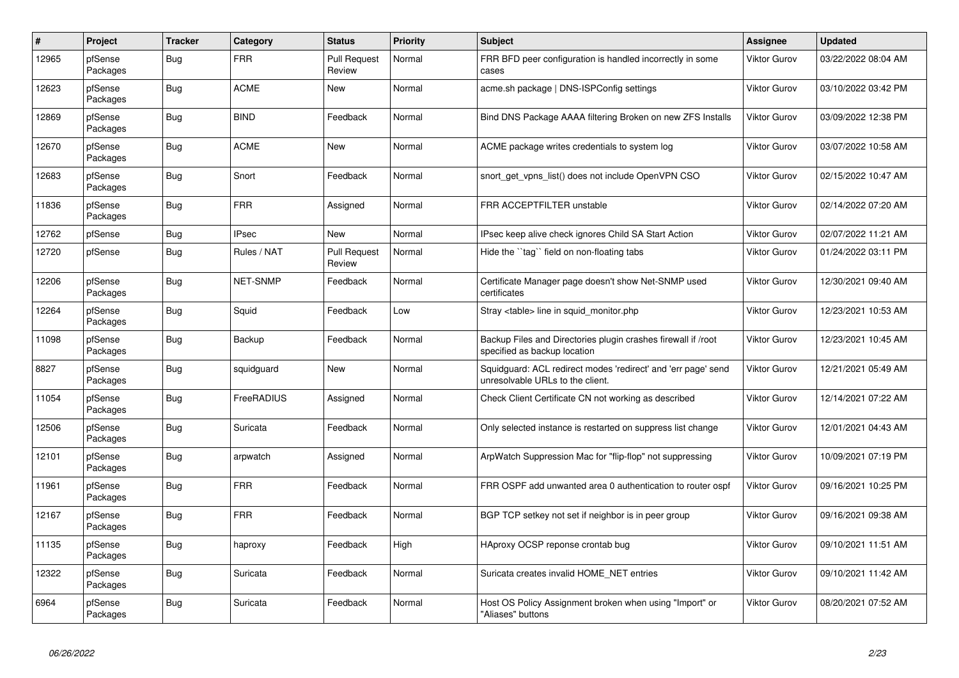| $\vert$ # | Project             | <b>Tracker</b> | Category          | <b>Status</b>                 | <b>Priority</b> | <b>Subject</b>                                                                                    | <b>Assignee</b>     | <b>Updated</b>      |
|-----------|---------------------|----------------|-------------------|-------------------------------|-----------------|---------------------------------------------------------------------------------------------------|---------------------|---------------------|
| 12965     | pfSense<br>Packages | Bug            | <b>FRR</b>        | <b>Pull Request</b><br>Review | Normal          | FRR BFD peer configuration is handled incorrectly in some<br>cases                                | <b>Viktor Gurov</b> | 03/22/2022 08:04 AM |
| 12623     | pfSense<br>Packages | <b>Bug</b>     | ACME              | New                           | Normal          | acme.sh package   DNS-ISPConfig settings                                                          | <b>Viktor Gurov</b> | 03/10/2022 03:42 PM |
| 12869     | pfSense<br>Packages | <b>Bug</b>     | <b>BIND</b>       | Feedback                      | Normal          | Bind DNS Package AAAA filtering Broken on new ZFS Installs                                        | <b>Viktor Gurov</b> | 03/09/2022 12:38 PM |
| 12670     | pfSense<br>Packages | <b>Bug</b>     | <b>ACME</b>       | New                           | Normal          | ACME package writes credentials to system log                                                     | <b>Viktor Gurov</b> | 03/07/2022 10:58 AM |
| 12683     | pfSense<br>Packages | <b>Bug</b>     | Snort             | Feedback                      | Normal          | snort get vpns list() does not include OpenVPN CSO                                                | <b>Viktor Gurov</b> | 02/15/2022 10:47 AM |
| 11836     | pfSense<br>Packages | Bug            | <b>FRR</b>        | Assigned                      | Normal          | FRR ACCEPTFILTER unstable                                                                         | <b>Viktor Gurov</b> | 02/14/2022 07:20 AM |
| 12762     | pfSense             | <b>Bug</b>     | <b>IPsec</b>      | <b>New</b>                    | Normal          | IPsec keep alive check ignores Child SA Start Action                                              | <b>Viktor Gurov</b> | 02/07/2022 11:21 AM |
| 12720     | pfSense             | Bug            | Rules / NAT       | <b>Pull Request</b><br>Review | Normal          | Hide the "tag" field on non-floating tabs                                                         | <b>Viktor Gurov</b> | 01/24/2022 03:11 PM |
| 12206     | pfSense<br>Packages | <b>Bug</b>     | <b>NET-SNMP</b>   | Feedback                      | Normal          | Certificate Manager page doesn't show Net-SNMP used<br>certificates                               | <b>Viktor Gurov</b> | 12/30/2021 09:40 AM |
| 12264     | pfSense<br>Packages | <b>Bug</b>     | Squid             | Feedback                      | Low             | Stray <table> line in squid monitor.php</table>                                                   | <b>Viktor Gurov</b> | 12/23/2021 10:53 AM |
| 11098     | pfSense<br>Packages | Bug            | Backup            | Feedback                      | Normal          | Backup Files and Directories plugin crashes firewall if /root<br>specified as backup location     | <b>Viktor Gurov</b> | 12/23/2021 10:45 AM |
| 8827      | pfSense<br>Packages | <b>Bug</b>     | squidguard        | New                           | Normal          | Squidguard: ACL redirect modes 'redirect' and 'err page' send<br>unresolvable URLs to the client. | <b>Viktor Gurov</b> | 12/21/2021 05:49 AM |
| 11054     | pfSense<br>Packages | <b>Bug</b>     | <b>FreeRADIUS</b> | Assigned                      | Normal          | Check Client Certificate CN not working as described                                              | <b>Viktor Gurov</b> | 12/14/2021 07:22 AM |
| 12506     | pfSense<br>Packages | <b>Bug</b>     | Suricata          | Feedback                      | Normal          | Only selected instance is restarted on suppress list change                                       | <b>Viktor Gurov</b> | 12/01/2021 04:43 AM |
| 12101     | pfSense<br>Packages | <b>Bug</b>     | arpwatch          | Assigned                      | Normal          | ArpWatch Suppression Mac for "flip-flop" not suppressing                                          | <b>Viktor Gurov</b> | 10/09/2021 07:19 PM |
| 11961     | pfSense<br>Packages | <b>Bug</b>     | <b>FRR</b>        | Feedback                      | Normal          | FRR OSPF add unwanted area 0 authentication to router ospf                                        | <b>Viktor Gurov</b> | 09/16/2021 10:25 PM |
| 12167     | pfSense<br>Packages | Bug            | <b>FRR</b>        | Feedback                      | Normal          | BGP TCP setkey not set if neighbor is in peer group                                               | <b>Viktor Gurov</b> | 09/16/2021 09:38 AM |
| 11135     | pfSense<br>Packages | <b>Bug</b>     | haproxy           | Feedback                      | High            | HAproxy OCSP reponse crontab bug                                                                  | <b>Viktor Gurov</b> | 09/10/2021 11:51 AM |
| 12322     | pfSense<br>Packages | Bug            | Suricata          | Feedback                      | Normal          | Suricata creates invalid HOME NET entries                                                         | <b>Viktor Gurov</b> | 09/10/2021 11:42 AM |
| 6964      | pfSense<br>Packages | Bug            | Suricata          | Feedback                      | Normal          | Host OS Policy Assignment broken when using "Import" or<br>"Aliases" buttons                      | <b>Viktor Gurov</b> | 08/20/2021 07:52 AM |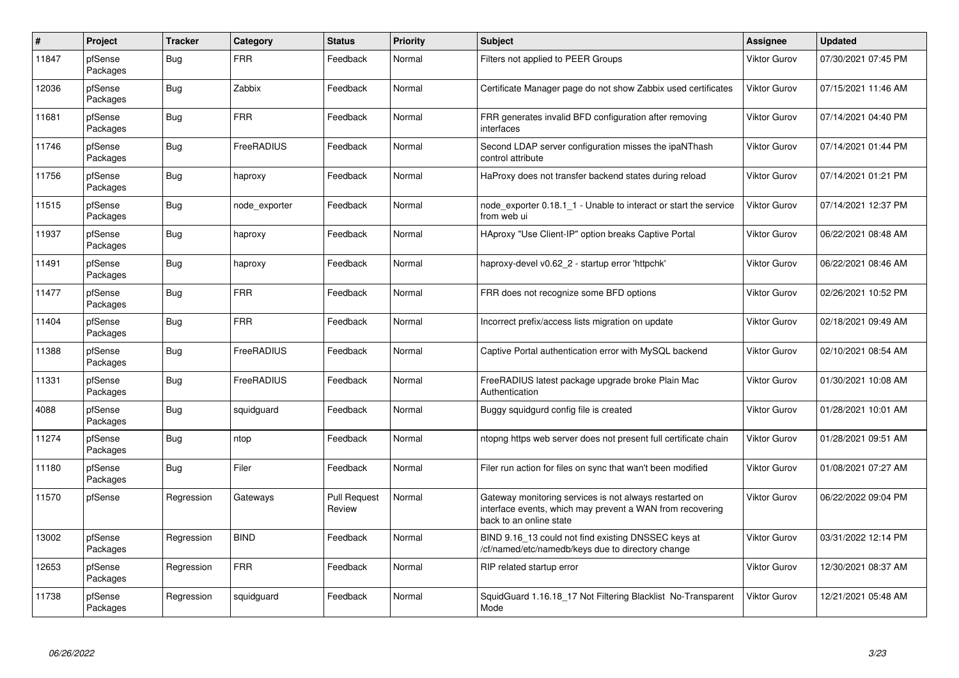| $\#$  | Project             | <b>Tracker</b> | Category      | <b>Status</b>                 | <b>Priority</b> | <b>Subject</b>                                                                                                                                 | Assignee            | <b>Updated</b>      |
|-------|---------------------|----------------|---------------|-------------------------------|-----------------|------------------------------------------------------------------------------------------------------------------------------------------------|---------------------|---------------------|
| 11847 | pfSense<br>Packages | Bug            | <b>FRR</b>    | Feedback                      | Normal          | Filters not applied to PEER Groups                                                                                                             | Viktor Gurov        | 07/30/2021 07:45 PM |
| 12036 | pfSense<br>Packages | <b>Bug</b>     | Zabbix        | Feedback                      | Normal          | Certificate Manager page do not show Zabbix used certificates                                                                                  | Viktor Gurov        | 07/15/2021 11:46 AM |
| 11681 | pfSense<br>Packages | Bug            | <b>FRR</b>    | Feedback                      | Normal          | FRR generates invalid BFD configuration after removing<br>interfaces                                                                           | Viktor Gurov        | 07/14/2021 04:40 PM |
| 11746 | pfSense<br>Packages | <b>Bug</b>     | FreeRADIUS    | Feedback                      | Normal          | Second LDAP server configuration misses the ipaNThash<br>control attribute                                                                     | Viktor Gurov        | 07/14/2021 01:44 PM |
| 11756 | pfSense<br>Packages | <b>Bug</b>     | haproxy       | Feedback                      | Normal          | HaProxy does not transfer backend states during reload                                                                                         | Viktor Gurov        | 07/14/2021 01:21 PM |
| 11515 | pfSense<br>Packages | <b>Bug</b>     | node exporter | Feedback                      | Normal          | node exporter 0.18.1 1 - Unable to interact or start the service<br>from web ui                                                                | Viktor Gurov        | 07/14/2021 12:37 PM |
| 11937 | pfSense<br>Packages | <b>Bug</b>     | haproxy       | Feedback                      | Normal          | HAproxy "Use Client-IP" option breaks Captive Portal                                                                                           | Viktor Gurov        | 06/22/2021 08:48 AM |
| 11491 | pfSense<br>Packages | Bug            | haproxy       | Feedback                      | Normal          | haproxy-devel v0.62 2 - startup error 'httpchk'                                                                                                | Viktor Gurov        | 06/22/2021 08:46 AM |
| 11477 | pfSense<br>Packages | <b>Bug</b>     | <b>FRR</b>    | Feedback                      | Normal          | FRR does not recognize some BFD options                                                                                                        | Viktor Gurov        | 02/26/2021 10:52 PM |
| 11404 | pfSense<br>Packages | Bug            | <b>FRR</b>    | Feedback                      | Normal          | Incorrect prefix/access lists migration on update                                                                                              | Viktor Gurov        | 02/18/2021 09:49 AM |
| 11388 | pfSense<br>Packages | Bug            | FreeRADIUS    | Feedback                      | Normal          | Captive Portal authentication error with MySQL backend                                                                                         | Viktor Gurov        | 02/10/2021 08:54 AM |
| 11331 | pfSense<br>Packages | <b>Bug</b>     | FreeRADIUS    | Feedback                      | Normal          | FreeRADIUS latest package upgrade broke Plain Mac<br>Authentication                                                                            | Viktor Gurov        | 01/30/2021 10:08 AM |
| 4088  | pfSense<br>Packages | <b>Bug</b>     | squidguard    | Feedback                      | Normal          | Buggy squidgurd config file is created                                                                                                         | Viktor Gurov        | 01/28/2021 10:01 AM |
| 11274 | pfSense<br>Packages | <b>Bug</b>     | ntop          | Feedback                      | Normal          | ntopng https web server does not present full certificate chain                                                                                | Viktor Gurov        | 01/28/2021 09:51 AM |
| 11180 | pfSense<br>Packages | <b>Bug</b>     | Filer         | Feedback                      | Normal          | Filer run action for files on sync that wan't been modified                                                                                    | Viktor Gurov        | 01/08/2021 07:27 AM |
| 11570 | pfSense             | Regression     | Gateways      | <b>Pull Request</b><br>Review | Normal          | Gateway monitoring services is not always restarted on<br>interface events, which may prevent a WAN from recovering<br>back to an online state | Viktor Gurov        | 06/22/2022 09:04 PM |
| 13002 | pfSense<br>Packages | Regression     | <b>BIND</b>   | Feedback                      | Normal          | BIND 9.16_13 could not find existing DNSSEC keys at<br>/cf/named/etc/namedb/keys due to directory change                                       | <b>Viktor Gurov</b> | 03/31/2022 12:14 PM |
| 12653 | pfSense<br>Packages | Regression     | <b>FRR</b>    | Feedback                      | Normal          | RIP related startup error                                                                                                                      | Viktor Gurov        | 12/30/2021 08:37 AM |
| 11738 | pfSense<br>Packages | Regression     | squidguard    | Feedback                      | Normal          | SquidGuard 1.16.18_17 Not Filtering Blacklist No-Transparent<br>Mode                                                                           | Viktor Gurov        | 12/21/2021 05:48 AM |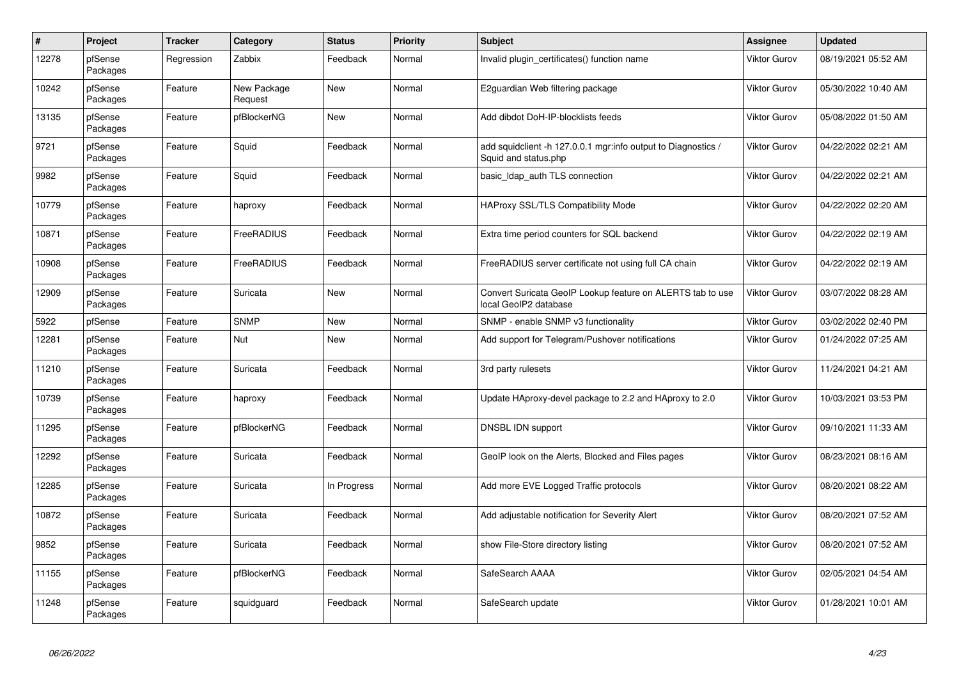| $\#$  | Project             | <b>Tracker</b> | Category               | <b>Status</b> | <b>Priority</b> | <b>Subject</b>                                                                        | Assignee            | <b>Updated</b>      |
|-------|---------------------|----------------|------------------------|---------------|-----------------|---------------------------------------------------------------------------------------|---------------------|---------------------|
| 12278 | pfSense<br>Packages | Regression     | Zabbix                 | Feedback      | Normal          | Invalid plugin certificates() function name                                           | Viktor Gurov        | 08/19/2021 05:52 AM |
| 10242 | pfSense<br>Packages | Feature        | New Package<br>Request | <b>New</b>    | Normal          | E2guardian Web filtering package                                                      | <b>Viktor Gurov</b> | 05/30/2022 10:40 AM |
| 13135 | pfSense<br>Packages | Feature        | pfBlockerNG            | <b>New</b>    | Normal          | Add dibdot DoH-IP-blocklists feeds                                                    | Viktor Gurov        | 05/08/2022 01:50 AM |
| 9721  | pfSense<br>Packages | Feature        | Squid                  | Feedback      | Normal          | add squidclient -h 127.0.0.1 mgr:info output to Diagnostics /<br>Squid and status.php | Viktor Gurov        | 04/22/2022 02:21 AM |
| 9982  | pfSense<br>Packages | Feature        | Squid                  | Feedback      | Normal          | basic_Idap_auth TLS connection                                                        | Viktor Gurov        | 04/22/2022 02:21 AM |
| 10779 | pfSense<br>Packages | Feature        | haproxy                | Feedback      | Normal          | HAProxy SSL/TLS Compatibility Mode                                                    | Viktor Gurov        | 04/22/2022 02:20 AM |
| 10871 | pfSense<br>Packages | Feature        | FreeRADIUS             | Feedback      | Normal          | Extra time period counters for SQL backend                                            | Viktor Gurov        | 04/22/2022 02:19 AM |
| 10908 | pfSense<br>Packages | Feature        | FreeRADIUS             | Feedback      | Normal          | FreeRADIUS server certificate not using full CA chain                                 | <b>Viktor Gurov</b> | 04/22/2022 02:19 AM |
| 12909 | pfSense<br>Packages | Feature        | Suricata               | <b>New</b>    | Normal          | Convert Suricata GeoIP Lookup feature on ALERTS tab to use<br>local GeoIP2 database   | Viktor Gurov        | 03/07/2022 08:28 AM |
| 5922  | pfSense             | Feature        | <b>SNMP</b>            | <b>New</b>    | Normal          | SNMP - enable SNMP v3 functionality                                                   | Viktor Gurov        | 03/02/2022 02:40 PM |
| 12281 | pfSense<br>Packages | Feature        | Nut                    | New           | Normal          | Add support for Telegram/Pushover notifications                                       | <b>Viktor Gurov</b> | 01/24/2022 07:25 AM |
| 11210 | pfSense<br>Packages | Feature        | Suricata               | Feedback      | Normal          | 3rd party rulesets                                                                    | Viktor Gurov        | 11/24/2021 04:21 AM |
| 10739 | pfSense<br>Packages | Feature        | haproxy                | Feedback      | Normal          | Update HAproxy-devel package to 2.2 and HAproxy to 2.0                                | Viktor Gurov        | 10/03/2021 03:53 PM |
| 11295 | pfSense<br>Packages | Feature        | pfBlockerNG            | Feedback      | Normal          | DNSBL IDN support                                                                     | Viktor Gurov        | 09/10/2021 11:33 AM |
| 12292 | pfSense<br>Packages | Feature        | Suricata               | Feedback      | Normal          | GeoIP look on the Alerts, Blocked and Files pages                                     | Viktor Gurov        | 08/23/2021 08:16 AM |
| 12285 | pfSense<br>Packages | Feature        | Suricata               | In Progress   | Normal          | Add more EVE Logged Traffic protocols                                                 | <b>Viktor Gurov</b> | 08/20/2021 08:22 AM |
| 10872 | pfSense<br>Packages | Feature        | Suricata               | Feedback      | Normal          | Add adjustable notification for Severity Alert                                        | Viktor Gurov        | 08/20/2021 07:52 AM |
| 9852  | pfSense<br>Packages | Feature        | Suricata               | Feedback      | Normal          | show File-Store directory listing                                                     | Viktor Gurov        | 08/20/2021 07:52 AM |
| 11155 | pfSense<br>Packages | Feature        | pfBlockerNG            | Feedback      | Normal          | SafeSearch AAAA                                                                       | Viktor Gurov        | 02/05/2021 04:54 AM |
| 11248 | pfSense<br>Packages | Feature        | squidguard             | Feedback      | Normal          | SafeSearch update                                                                     | Viktor Gurov        | 01/28/2021 10:01 AM |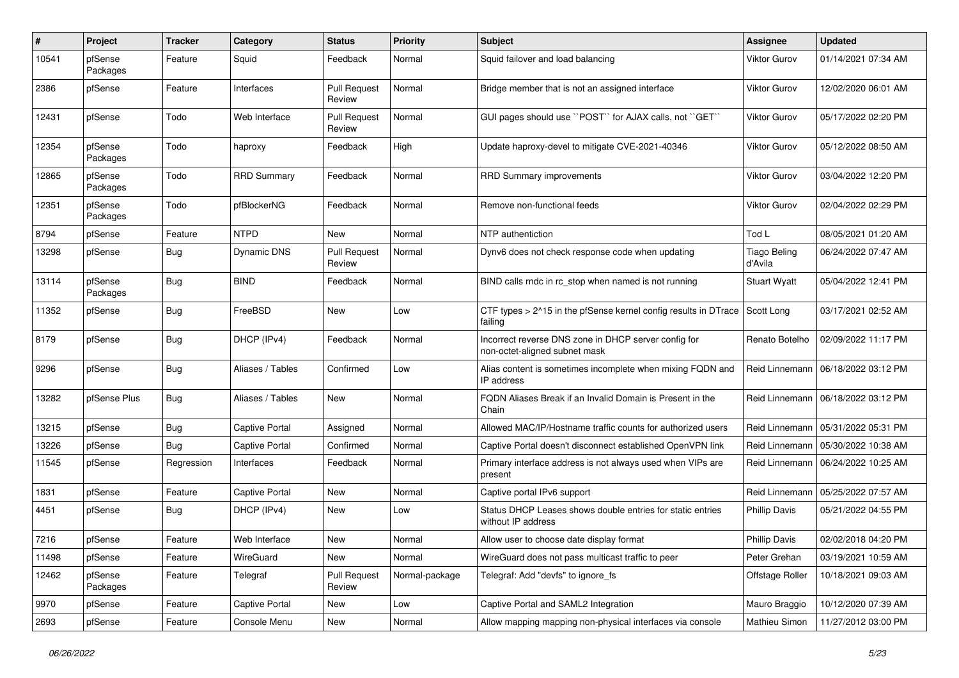| #     | Project             | <b>Tracker</b> | Category              | <b>Status</b>                 | <b>Priority</b> | <b>Subject</b>                                                                        | <b>Assignee</b>         | <b>Updated</b>      |
|-------|---------------------|----------------|-----------------------|-------------------------------|-----------------|---------------------------------------------------------------------------------------|-------------------------|---------------------|
| 10541 | pfSense<br>Packages | Feature        | Squid                 | Feedback                      | Normal          | Squid failover and load balancing                                                     | <b>Viktor Gurov</b>     | 01/14/2021 07:34 AM |
| 2386  | pfSense             | Feature        | Interfaces            | <b>Pull Request</b><br>Review | Normal          | Bridge member that is not an assigned interface                                       | <b>Viktor Gurov</b>     | 12/02/2020 06:01 AM |
| 12431 | pfSense             | Todo           | Web Interface         | <b>Pull Request</b><br>Review | Normal          | GUI pages should use "POST" for AJAX calls, not "GET"                                 | <b>Viktor Gurov</b>     | 05/17/2022 02:20 PM |
| 12354 | pfSense<br>Packages | Todo           | haproxy               | Feedback                      | High            | Update haproxy-devel to mitigate CVE-2021-40346                                       | <b>Viktor Gurov</b>     | 05/12/2022 08:50 AM |
| 12865 | pfSense<br>Packages | Todo           | <b>RRD Summary</b>    | Feedback                      | Normal          | <b>RRD Summary improvements</b>                                                       | <b>Viktor Gurov</b>     | 03/04/2022 12:20 PM |
| 12351 | pfSense<br>Packages | Todo           | pfBlockerNG           | Feedback                      | Normal          | Remove non-functional feeds                                                           | <b>Viktor Gurov</b>     | 02/04/2022 02:29 PM |
| 8794  | pfSense             | Feature        | <b>NTPD</b>           | <b>New</b>                    | Normal          | NTP authentiction                                                                     | Tod L                   | 08/05/2021 01:20 AM |
| 13298 | pfSense             | Bug            | <b>Dynamic DNS</b>    | <b>Pull Request</b><br>Review | Normal          | Dynv6 does not check response code when updating                                      | Tiago Beling<br>d'Avila | 06/24/2022 07:47 AM |
| 13114 | pfSense<br>Packages | <b>Bug</b>     | <b>BIND</b>           | Feedback                      | Normal          | BIND calls rndc in rc stop when named is not running                                  | <b>Stuart Wyatt</b>     | 05/04/2022 12:41 PM |
| 11352 | pfSense             | Bug            | FreeBSD               | <b>New</b>                    | Low             | CTF types > 2^15 in the pfSense kernel config results in DTrace<br>failing            | Scott Long              | 03/17/2021 02:52 AM |
| 8179  | pfSense             | Bug            | DHCP (IPv4)           | Feedback                      | Normal          | Incorrect reverse DNS zone in DHCP server config for<br>non-octet-aligned subnet mask | Renato Botelho          | 02/09/2022 11:17 PM |
| 9296  | pfSense             | <b>Bug</b>     | Aliases / Tables      | Confirmed                     | Low             | Alias content is sometimes incomplete when mixing FQDN and<br>IP address              | Reid Linnemann          | 06/18/2022 03:12 PM |
| 13282 | pfSense Plus        | Bug            | Aliases / Tables      | <b>New</b>                    | Normal          | FQDN Aliases Break if an Invalid Domain is Present in the<br>Chain                    | Reid Linnemann          | 06/18/2022 03:12 PM |
| 13215 | pfSense             | Bug            | Captive Portal        | Assigned                      | Normal          | Allowed MAC/IP/Hostname traffic counts for authorized users                           | Reid Linnemann          | 05/31/2022 05:31 PM |
| 13226 | pfSense             | Bug            | <b>Captive Portal</b> | Confirmed                     | Normal          | Captive Portal doesn't disconnect established OpenVPN link                            | Reid Linnemann          | 05/30/2022 10:38 AM |
| 11545 | pfSense             | Regression     | Interfaces            | Feedback                      | Normal          | Primary interface address is not always used when VIPs are<br>present                 | Reid Linnemann          | 06/24/2022 10:25 AM |
| 1831  | pfSense             | Feature        | <b>Captive Portal</b> | New                           | Normal          | Captive portal IPv6 support                                                           | Reid Linnemann          | 05/25/2022 07:57 AM |
| 4451  | pfSense             | Bug            | DHCP (IPv4)           | New                           | Low             | Status DHCP Leases shows double entries for static entries<br>without IP address      | <b>Phillip Davis</b>    | 05/21/2022 04:55 PM |
| 7216  | pfSense             | Feature        | Web Interface         | New                           | Normal          | Allow user to choose date display format                                              | <b>Phillip Davis</b>    | 02/02/2018 04:20 PM |
| 11498 | pfSense             | Feature        | WireGuard             | New                           | Normal          | WireGuard does not pass multicast traffic to peer                                     | Peter Grehan            | 03/19/2021 10:59 AM |
| 12462 | pfSense<br>Packages | Feature        | Telegraf              | <b>Pull Request</b><br>Review | Normal-package  | Telegraf: Add "devfs" to ignore_fs                                                    | Offstage Roller         | 10/18/2021 09:03 AM |
| 9970  | pfSense             | Feature        | Captive Portal        | New                           | Low             | Captive Portal and SAML2 Integration                                                  | Mauro Braggio           | 10/12/2020 07:39 AM |
| 2693  | pfSense             | Feature        | Console Menu          | New                           | Normal          | Allow mapping mapping non-physical interfaces via console                             | Mathieu Simon           | 11/27/2012 03:00 PM |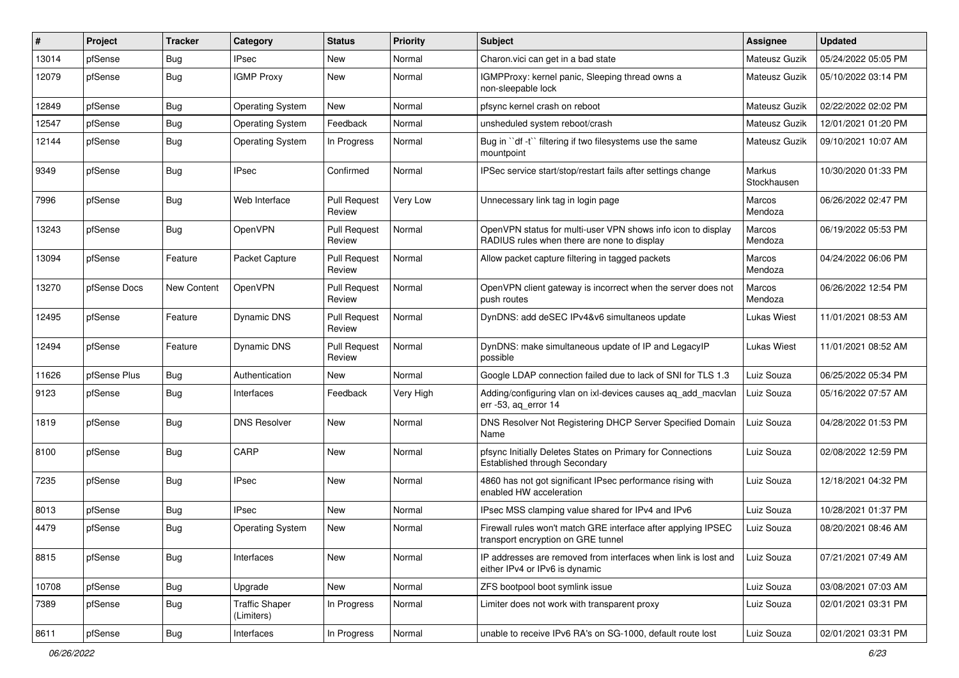| #     | Project      | <b>Tracker</b> | Category                            | <b>Status</b>                 | <b>Priority</b> | <b>Subject</b>                                                                                              | <b>Assignee</b>       | <b>Updated</b>      |
|-------|--------------|----------------|-------------------------------------|-------------------------------|-----------------|-------------------------------------------------------------------------------------------------------------|-----------------------|---------------------|
| 13014 | pfSense      | <b>Bug</b>     | <b>IPsec</b>                        | New                           | Normal          | Charon.vici can get in a bad state                                                                          | Mateusz Guzik         | 05/24/2022 05:05 PM |
| 12079 | pfSense      | Bug            | <b>IGMP Proxy</b>                   | <b>New</b>                    | Normal          | IGMPProxy: kernel panic, Sleeping thread owns a<br>non-sleepable lock                                       | Mateusz Guzik         | 05/10/2022 03:14 PM |
| 12849 | pfSense      | <b>Bug</b>     | <b>Operating System</b>             | New                           | Normal          | pfsync kernel crash on reboot                                                                               | Mateusz Guzik         | 02/22/2022 02:02 PM |
| 12547 | pfSense      | <b>Bug</b>     | <b>Operating System</b>             | Feedback                      | Normal          | unsheduled system reboot/crash                                                                              | Mateusz Guzik         | 12/01/2021 01:20 PM |
| 12144 | pfSense      | <b>Bug</b>     | <b>Operating System</b>             | In Progress                   | Normal          | Bug in "df -t" filtering if two filesystems use the same<br>mountpoint                                      | Mateusz Guzik         | 09/10/2021 10:07 AM |
| 9349  | pfSense      | <b>Bug</b>     | <b>IPsec</b>                        | Confirmed                     | Normal          | IPSec service start/stop/restart fails after settings change                                                | Markus<br>Stockhausen | 10/30/2020 01:33 PM |
| 7996  | pfSense      | <b>Bug</b>     | Web Interface                       | <b>Pull Request</b><br>Review | Very Low        | Unnecessary link tag in login page                                                                          | Marcos<br>Mendoza     | 06/26/2022 02:47 PM |
| 13243 | pfSense      | Bug            | OpenVPN                             | <b>Pull Request</b><br>Review | Normal          | OpenVPN status for multi-user VPN shows info icon to display<br>RADIUS rules when there are none to display | Marcos<br>Mendoza     | 06/19/2022 05:53 PM |
| 13094 | pfSense      | Feature        | Packet Capture                      | <b>Pull Request</b><br>Review | Normal          | Allow packet capture filtering in tagged packets                                                            | Marcos<br>Mendoza     | 04/24/2022 06:06 PM |
| 13270 | pfSense Docs | New Content    | OpenVPN                             | <b>Pull Request</b><br>Review | Normal          | OpenVPN client gateway is incorrect when the server does not<br>push routes                                 | Marcos<br>Mendoza     | 06/26/2022 12:54 PM |
| 12495 | pfSense      | Feature        | Dynamic DNS                         | <b>Pull Request</b><br>Review | Normal          | DynDNS: add deSEC IPv4&v6 simultaneos update                                                                | Lukas Wiest           | 11/01/2021 08:53 AM |
| 12494 | pfSense      | Feature        | Dynamic DNS                         | <b>Pull Request</b><br>Review | Normal          | DynDNS: make simultaneous update of IP and LegacyIP<br>possible                                             | Lukas Wiest           | 11/01/2021 08:52 AM |
| 11626 | pfSense Plus | <b>Bug</b>     | Authentication                      | <b>New</b>                    | Normal          | Google LDAP connection failed due to lack of SNI for TLS 1.3                                                | Luiz Souza            | 06/25/2022 05:34 PM |
| 9123  | pfSense      | Bug            | Interfaces                          | Feedback                      | Very High       | Adding/configuring vlan on ixl-devices causes ag add macvlan<br>err -53, ag error 14                        | Luiz Souza            | 05/16/2022 07:57 AM |
| 1819  | pfSense      | <b>Bug</b>     | <b>DNS Resolver</b>                 | New                           | Normal          | DNS Resolver Not Registering DHCP Server Specified Domain<br>Name                                           | Luiz Souza            | 04/28/2022 01:53 PM |
| 8100  | pfSense      | Bug            | CARP                                | New                           | Normal          | pfsync Initially Deletes States on Primary for Connections<br>Established through Secondary                 | Luiz Souza            | 02/08/2022 12:59 PM |
| 7235  | pfSense      | <b>Bug</b>     | <b>IPsec</b>                        | New                           | Normal          | 4860 has not got significant IPsec performance rising with<br>enabled HW acceleration                       | Luiz Souza            | 12/18/2021 04:32 PM |
| 8013  | pfSense      | <b>Bug</b>     | <b>IPsec</b>                        | New                           | Normal          | IPsec MSS clamping value shared for IPv4 and IPv6                                                           | Luiz Souza            | 10/28/2021 01:37 PM |
| 4479  | pfSense      | Bug            | <b>Operating System</b>             | New                           | Normal          | Firewall rules won't match GRE interface after applying IPSEC<br>transport encryption on GRE tunnel         | Luiz Souza            | 08/20/2021 08:46 AM |
| 8815  | pfSense      | Bug            | Interfaces                          | New                           | Normal          | IP addresses are removed from interfaces when link is lost and<br>either IPv4 or IPv6 is dynamic            | Luiz Souza            | 07/21/2021 07:49 AM |
| 10708 | pfSense      | Bug            | Upgrade                             | New                           | Normal          | ZFS bootpool boot symlink issue                                                                             | Luiz Souza            | 03/08/2021 07:03 AM |
| 7389  | pfSense      | <b>Bug</b>     | <b>Traffic Shaper</b><br>(Limiters) | In Progress                   | Normal          | Limiter does not work with transparent proxy                                                                | Luiz Souza            | 02/01/2021 03:31 PM |
| 8611  | pfSense      | Bug            | Interfaces                          | In Progress                   | Normal          | unable to receive IPv6 RA's on SG-1000, default route lost                                                  | Luiz Souza            | 02/01/2021 03:31 PM |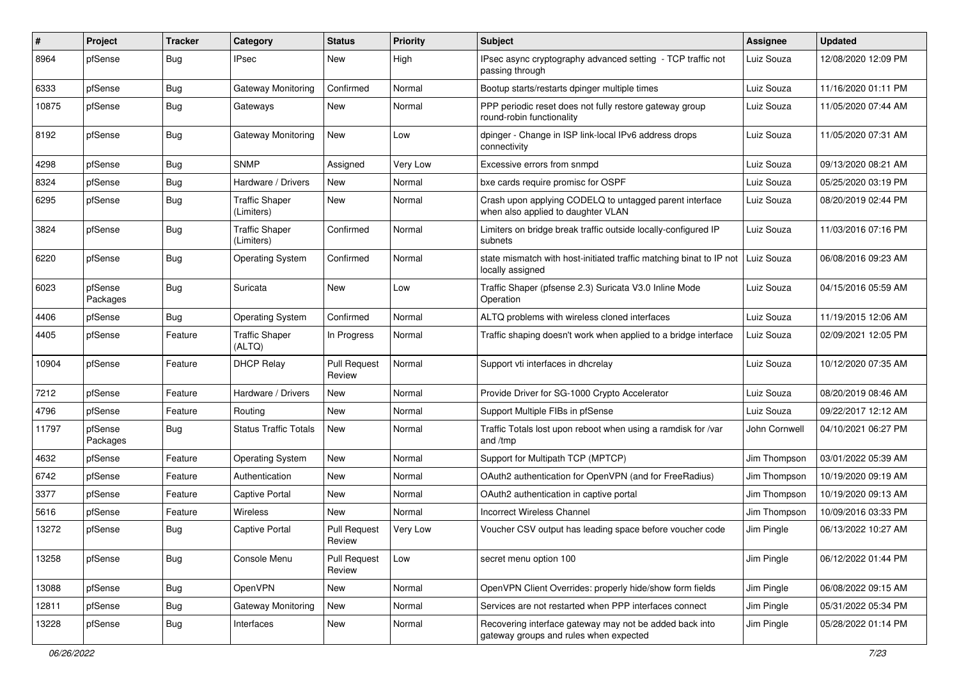| #     | Project             | <b>Tracker</b> | Category                            | <b>Status</b>                 | <b>Priority</b> | <b>Subject</b>                                                                                    | <b>Assignee</b> | <b>Updated</b>      |
|-------|---------------------|----------------|-------------------------------------|-------------------------------|-----------------|---------------------------------------------------------------------------------------------------|-----------------|---------------------|
| 8964  | pfSense             | Bug            | <b>IPsec</b>                        | New                           | High            | IPsec async cryptography advanced setting - TCP traffic not<br>passing through                    | Luiz Souza      | 12/08/2020 12:09 PM |
| 6333  | pfSense             | Bug            | Gateway Monitoring                  | Confirmed                     | Normal          | Bootup starts/restarts dpinger multiple times                                                     | Luiz Souza      | 11/16/2020 01:11 PM |
| 10875 | pfSense             | Bug            | Gateways                            | New                           | Normal          | PPP periodic reset does not fully restore gateway group<br>round-robin functionality              | Luiz Souza      | 11/05/2020 07:44 AM |
| 8192  | pfSense             | Bug            | Gateway Monitoring                  | New                           | Low             | dpinger - Change in ISP link-local IPv6 address drops<br>connectivity                             | Luiz Souza      | 11/05/2020 07:31 AM |
| 4298  | pfSense             | Bug            | <b>SNMP</b>                         | Assigned                      | Very Low        | Excessive errors from snmpd                                                                       | Luiz Souza      | 09/13/2020 08:21 AM |
| 8324  | pfSense             | Bug            | Hardware / Drivers                  | New                           | Normal          | bxe cards require promisc for OSPF                                                                | Luiz Souza      | 05/25/2020 03:19 PM |
| 6295  | pfSense             | Bug            | <b>Traffic Shaper</b><br>(Limiters) | New                           | Normal          | Crash upon applying CODELQ to untagged parent interface<br>when also applied to daughter VLAN     | Luiz Souza      | 08/20/2019 02:44 PM |
| 3824  | pfSense             | Bug            | <b>Traffic Shaper</b><br>(Limiters) | Confirmed                     | Normal          | Limiters on bridge break traffic outside locally-configured IP<br>subnets                         | Luiz Souza      | 11/03/2016 07:16 PM |
| 6220  | pfSense             | Bug            | <b>Operating System</b>             | Confirmed                     | Normal          | state mismatch with host-initiated traffic matching binat to IP not<br>locally assigned           | Luiz Souza      | 06/08/2016 09:23 AM |
| 6023  | pfSense<br>Packages | <b>Bug</b>     | Suricata                            | New                           | Low             | Traffic Shaper (pfsense 2.3) Suricata V3.0 Inline Mode<br>Operation                               | Luiz Souza      | 04/15/2016 05:59 AM |
| 4406  | pfSense             | Bug            | <b>Operating System</b>             | Confirmed                     | Normal          | ALTQ problems with wireless cloned interfaces                                                     | Luiz Souza      | 11/19/2015 12:06 AM |
| 4405  | pfSense             | Feature        | <b>Traffic Shaper</b><br>(ALTQ)     | In Progress                   | Normal          | Traffic shaping doesn't work when applied to a bridge interface                                   | Luiz Souza      | 02/09/2021 12:05 PM |
| 10904 | pfSense             | Feature        | <b>DHCP Relay</b>                   | <b>Pull Request</b><br>Review | Normal          | Support vti interfaces in dhcrelay                                                                | Luiz Souza      | 10/12/2020 07:35 AM |
| 7212  | pfSense             | Feature        | Hardware / Drivers                  | New                           | Normal          | Provide Driver for SG-1000 Crypto Accelerator                                                     | Luiz Souza      | 08/20/2019 08:46 AM |
| 4796  | pfSense             | Feature        | Routing                             | <b>New</b>                    | Normal          | Support Multiple FIBs in pfSense                                                                  | Luiz Souza      | 09/22/2017 12:12 AM |
| 11797 | pfSense<br>Packages | Bug            | <b>Status Traffic Totals</b>        | New                           | Normal          | Traffic Totals lost upon reboot when using a ramdisk for /var<br>and /tmp                         | John Cornwell   | 04/10/2021 06:27 PM |
| 4632  | pfSense             | Feature        | <b>Operating System</b>             | New                           | Normal          | Support for Multipath TCP (MPTCP)                                                                 | Jim Thompson    | 03/01/2022 05:39 AM |
| 6742  | pfSense             | Feature        | Authentication                      | <b>New</b>                    | Normal          | OAuth2 authentication for OpenVPN (and for FreeRadius)                                            | Jim Thompson    | 10/19/2020 09:19 AM |
| 3377  | pfSense             | Feature        | <b>Captive Portal</b>               | New                           | Normal          | OAuth2 authentication in captive portal                                                           | Jim Thompson    | 10/19/2020 09:13 AM |
| 5616  | pfSense             | Feature        | Wireless                            | <b>New</b>                    | Normal          | <b>Incorrect Wireless Channel</b>                                                                 | Jim Thompson    | 10/09/2016 03:33 PM |
| 13272 | pfSense             | Bug            | Captive Portal                      | <b>Pull Request</b><br>Review | Very Low        | Voucher CSV output has leading space before voucher code                                          | Jim Pingle      | 06/13/2022 10:27 AM |
| 13258 | pfSense             | <b>Bug</b>     | Console Menu                        | <b>Pull Request</b><br>Review | Low             | secret menu option 100                                                                            | Jim Pingle      | 06/12/2022 01:44 PM |
| 13088 | pfSense             | <b>Bug</b>     | OpenVPN                             | New                           | Normal          | OpenVPN Client Overrides: properly hide/show form fields                                          | Jim Pingle      | 06/08/2022 09:15 AM |
| 12811 | pfSense             | <b>Bug</b>     | Gateway Monitoring                  | New                           | Normal          | Services are not restarted when PPP interfaces connect                                            | Jim Pingle      | 05/31/2022 05:34 PM |
| 13228 | pfSense             | <b>Bug</b>     | Interfaces                          | New                           | Normal          | Recovering interface gateway may not be added back into<br>gateway groups and rules when expected | Jim Pingle      | 05/28/2022 01:14 PM |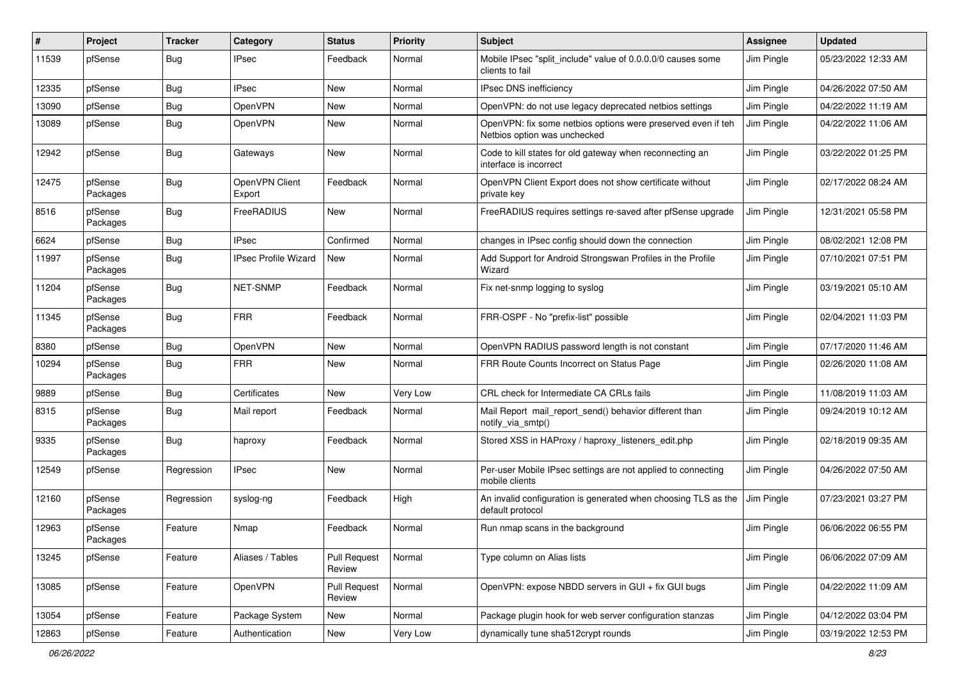| #     | Project             | <b>Tracker</b> | Category                    | <b>Status</b>                 | <b>Priority</b> | <b>Subject</b>                                                                               | <b>Assignee</b> | <b>Updated</b>      |
|-------|---------------------|----------------|-----------------------------|-------------------------------|-----------------|----------------------------------------------------------------------------------------------|-----------------|---------------------|
| 11539 | pfSense             | Bug            | <b>IPsec</b>                | Feedback                      | Normal          | Mobile IPsec "split include" value of 0.0.0.0/0 causes some<br>clients to fail               | Jim Pingle      | 05/23/2022 12:33 AM |
| 12335 | pfSense             | Bug            | <b>IPsec</b>                | New                           | Normal          | IPsec DNS inefficiency                                                                       | Jim Pingle      | 04/26/2022 07:50 AM |
| 13090 | pfSense             | <b>Bug</b>     | OpenVPN                     | New                           | Normal          | OpenVPN: do not use legacy deprecated netbios settings                                       | Jim Pingle      | 04/22/2022 11:19 AM |
| 13089 | pfSense             | <b>Bug</b>     | OpenVPN                     | New                           | Normal          | OpenVPN: fix some netbios options were preserved even if teh<br>Netbios option was unchecked | Jim Pingle      | 04/22/2022 11:06 AM |
| 12942 | pfSense             | Bug            | Gateways                    | New                           | Normal          | Code to kill states for old gateway when reconnecting an<br>interface is incorrect           | Jim Pingle      | 03/22/2022 01:25 PM |
| 12475 | pfSense<br>Packages | Bug            | OpenVPN Client<br>Export    | Feedback                      | Normal          | OpenVPN Client Export does not show certificate without<br>private key                       | Jim Pingle      | 02/17/2022 08:24 AM |
| 8516  | pfSense<br>Packages | <b>Bug</b>     | FreeRADIUS                  | New                           | Normal          | FreeRADIUS requires settings re-saved after pfSense upgrade                                  | Jim Pingle      | 12/31/2021 05:58 PM |
| 6624  | pfSense             | Bug            | <b>IPsec</b>                | Confirmed                     | Normal          | changes in IPsec config should down the connection                                           | Jim Pingle      | 08/02/2021 12:08 PM |
| 11997 | pfSense<br>Packages | Bug            | <b>IPsec Profile Wizard</b> | New                           | Normal          | Add Support for Android Strongswan Profiles in the Profile<br>Wizard                         | Jim Pingle      | 07/10/2021 07:51 PM |
| 11204 | pfSense<br>Packages | <b>Bug</b>     | NET-SNMP                    | Feedback                      | Normal          | Fix net-snmp logging to syslog                                                               | Jim Pingle      | 03/19/2021 05:10 AM |
| 11345 | pfSense<br>Packages | Bug            | <b>FRR</b>                  | Feedback                      | Normal          | FRR-OSPF - No "prefix-list" possible                                                         | Jim Pingle      | 02/04/2021 11:03 PM |
| 8380  | pfSense             | Bug            | OpenVPN                     | New                           | Normal          | OpenVPN RADIUS password length is not constant                                               | Jim Pingle      | 07/17/2020 11:46 AM |
| 10294 | pfSense<br>Packages | Bug            | <b>FRR</b>                  | New                           | Normal          | FRR Route Counts Incorrect on Status Page                                                    | Jim Pingle      | 02/26/2020 11:08 AM |
| 9889  | pfSense             | Bug            | Certificates                | New                           | Very Low        | CRL check for Intermediate CA CRLs fails                                                     | Jim Pingle      | 11/08/2019 11:03 AM |
| 8315  | pfSense<br>Packages | <b>Bug</b>     | Mail report                 | Feedback                      | Normal          | Mail Report mail report send() behavior different than<br>notify_via_smtp()                  | Jim Pingle      | 09/24/2019 10:12 AM |
| 9335  | pfSense<br>Packages | Bug            | haproxy                     | Feedback                      | Normal          | Stored XSS in HAProxy / haproxy_listeners_edit.php                                           | Jim Pingle      | 02/18/2019 09:35 AM |
| 12549 | pfSense             | Regression     | <b>IPsec</b>                | <b>New</b>                    | Normal          | Per-user Mobile IPsec settings are not applied to connecting<br>mobile clients               | Jim Pingle      | 04/26/2022 07:50 AM |
| 12160 | pfSense<br>Packages | Regression     | syslog-ng                   | Feedback                      | High            | An invalid configuration is generated when choosing TLS as the<br>default protocol           | Jim Pingle      | 07/23/2021 03:27 PM |
| 12963 | pfSense<br>Packages | Feature        | Nmap                        | Feedback                      | Normal          | Run nmap scans in the background                                                             | Jim Pingle      | 06/06/2022 06:55 PM |
| 13245 | pfSense             | Feature        | Aliases / Tables            | <b>Pull Request</b><br>Review | Normal          | Type column on Alias lists                                                                   | Jim Pingle      | 06/06/2022 07:09 AM |
| 13085 | pfSense             | Feature        | OpenVPN                     | Pull Request<br>Review        | Normal          | OpenVPN: expose NBDD servers in GUI + fix GUI bugs                                           | Jim Pingle      | 04/22/2022 11:09 AM |
| 13054 | pfSense             | Feature        | Package System              | New                           | Normal          | Package plugin hook for web server configuration stanzas                                     | Jim Pingle      | 04/12/2022 03:04 PM |
| 12863 | pfSense             | Feature        | Authentication              | New                           | Very Low        | dynamically tune sha512crypt rounds                                                          | Jim Pingle      | 03/19/2022 12:53 PM |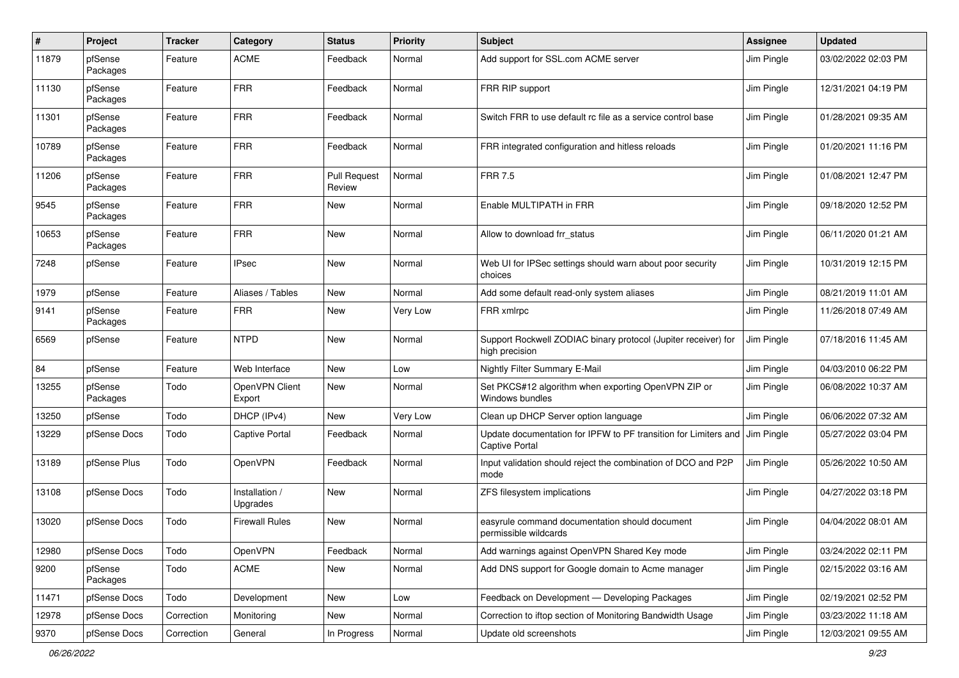| #     | Project             | <b>Tracker</b> | Category                   | <b>Status</b>                 | <b>Priority</b> | <b>Subject</b>                                                                                        | <b>Assignee</b> | <b>Updated</b>      |
|-------|---------------------|----------------|----------------------------|-------------------------------|-----------------|-------------------------------------------------------------------------------------------------------|-----------------|---------------------|
| 11879 | pfSense<br>Packages | Feature        | <b>ACME</b>                | Feedback                      | Normal          | Add support for SSL.com ACME server                                                                   | Jim Pingle      | 03/02/2022 02:03 PM |
| 11130 | pfSense<br>Packages | Feature        | <b>FRR</b>                 | Feedback                      | Normal          | FRR RIP support                                                                                       | Jim Pingle      | 12/31/2021 04:19 PM |
| 11301 | pfSense<br>Packages | Feature        | <b>FRR</b>                 | Feedback                      | Normal          | Switch FRR to use default rc file as a service control base                                           | Jim Pingle      | 01/28/2021 09:35 AM |
| 10789 | pfSense<br>Packages | Feature        | <b>FRR</b>                 | Feedback                      | Normal          | FRR integrated configuration and hitless reloads                                                      | Jim Pingle      | 01/20/2021 11:16 PM |
| 11206 | pfSense<br>Packages | Feature        | <b>FRR</b>                 | <b>Pull Request</b><br>Review | Normal          | <b>FRR 7.5</b>                                                                                        | Jim Pingle      | 01/08/2021 12:47 PM |
| 9545  | pfSense<br>Packages | Feature        | <b>FRR</b>                 | New                           | Normal          | Enable MULTIPATH in FRR                                                                               | Jim Pingle      | 09/18/2020 12:52 PM |
| 10653 | pfSense<br>Packages | Feature        | <b>FRR</b>                 | <b>New</b>                    | Normal          | Allow to download frr status                                                                          | Jim Pingle      | 06/11/2020 01:21 AM |
| 7248  | pfSense             | Feature        | IPsec                      | New                           | Normal          | Web UI for IPSec settings should warn about poor security<br>choices                                  | Jim Pingle      | 10/31/2019 12:15 PM |
| 1979  | pfSense             | Feature        | Aliases / Tables           | <b>New</b>                    | Normal          | Add some default read-only system aliases                                                             | Jim Pingle      | 08/21/2019 11:01 AM |
| 9141  | pfSense<br>Packages | Feature        | <b>FRR</b>                 | <b>New</b>                    | Very Low        | FRR xmlrpc                                                                                            | Jim Pingle      | 11/26/2018 07:49 AM |
| 6569  | pfSense             | Feature        | <b>NTPD</b>                | <b>New</b>                    | Normal          | Support Rockwell ZODIAC binary protocol (Jupiter receiver) for<br>high precision                      | Jim Pingle      | 07/18/2016 11:45 AM |
| 84    | pfSense             | Feature        | Web Interface              | New                           | Low             | Nightly Filter Summary E-Mail                                                                         | Jim Pingle      | 04/03/2010 06:22 PM |
| 13255 | pfSense<br>Packages | Todo           | OpenVPN Client<br>Export   | New                           | Normal          | Set PKCS#12 algorithm when exporting OpenVPN ZIP or<br>Windows bundles                                | Jim Pingle      | 06/08/2022 10:37 AM |
| 13250 | pfSense             | Todo           | DHCP (IPv4)                | New                           | Very Low        | Clean up DHCP Server option language                                                                  | Jim Pingle      | 06/06/2022 07:32 AM |
| 13229 | pfSense Docs        | Todo           | <b>Captive Portal</b>      | Feedback                      | Normal          | Update documentation for IPFW to PF transition for Limiters and J Jim Pingle<br><b>Captive Portal</b> |                 | 05/27/2022 03:04 PM |
| 13189 | pfSense Plus        | Todo           | <b>OpenVPN</b>             | Feedback                      | Normal          | Input validation should reject the combination of DCO and P2P<br>mode                                 | Jim Pingle      | 05/26/2022 10:50 AM |
| 13108 | pfSense Docs        | Todo           | Installation /<br>Upgrades | New                           | Normal          | ZFS filesystem implications                                                                           | Jim Pingle      | 04/27/2022 03:18 PM |
| 13020 | pfSense Docs        | Todo           | Firewall Rules             | <b>New</b>                    | Normal          | easyrule command documentation should document<br>permissible wildcards                               | Jim Pingle      | 04/04/2022 08:01 AM |
| 12980 | pfSense Docs        | Todo           | <b>OpenVPN</b>             | Feedback                      | Normal          | Add warnings against OpenVPN Shared Key mode                                                          | Jim Pingle      | 03/24/2022 02:11 PM |
| 9200  | pfSense<br>Packages | Todo           | <b>ACME</b>                | New                           | Normal          | Add DNS support for Google domain to Acme manager                                                     | Jim Pingle      | 02/15/2022 03:16 AM |
| 11471 | pfSense Docs        | Todo           | Development                | New                           | Low             | Feedback on Development - Developing Packages                                                         | Jim Pingle      | 02/19/2021 02:52 PM |
| 12978 | pfSense Docs        | Correction     | Monitoring                 | New                           | Normal          | Correction to iftop section of Monitoring Bandwidth Usage                                             | Jim Pingle      | 03/23/2022 11:18 AM |
| 9370  | pfSense Docs        | Correction     | General                    | In Progress                   | Normal          | Update old screenshots                                                                                | Jim Pingle      | 12/03/2021 09:55 AM |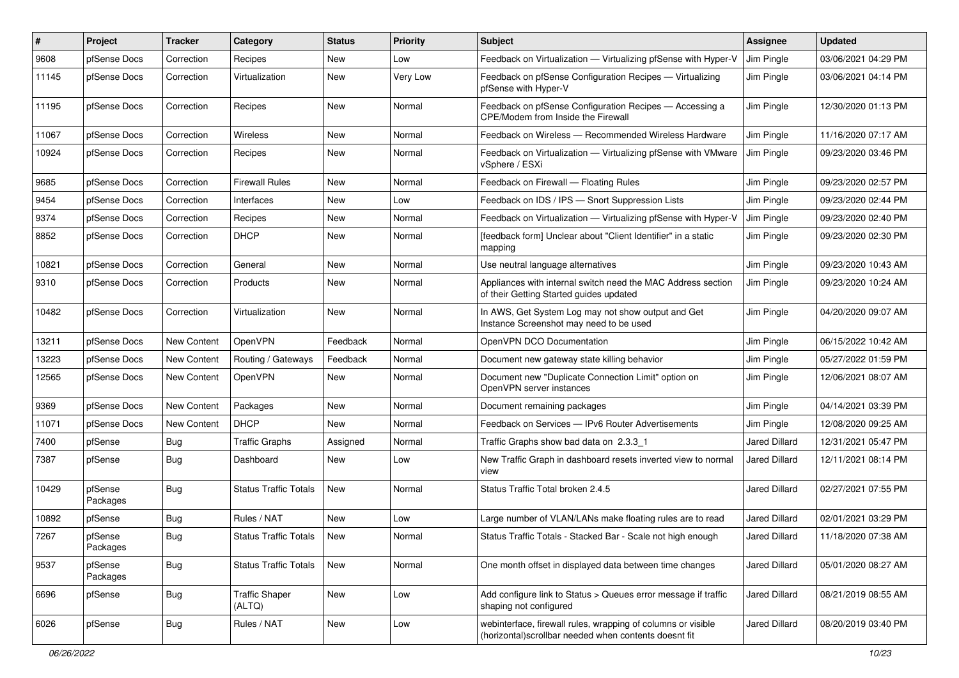| #     | Project             | <b>Tracker</b> | Category                        | <b>Status</b> | <b>Priority</b> | <b>Subject</b>                                                                                                        | <b>Assignee</b> | <b>Updated</b>      |
|-------|---------------------|----------------|---------------------------------|---------------|-----------------|-----------------------------------------------------------------------------------------------------------------------|-----------------|---------------------|
| 9608  | pfSense Docs        | Correction     | Recipes                         | New           | Low             | Feedback on Virtualization - Virtualizing pfSense with Hyper-V                                                        | Jim Pingle      | 03/06/2021 04:29 PM |
| 11145 | pfSense Docs        | Correction     | Virtualization                  | New           | Very Low        | Feedback on pfSense Configuration Recipes — Virtualizing<br>pfSense with Hyper-V                                      | Jim Pingle      | 03/06/2021 04:14 PM |
| 11195 | pfSense Docs        | Correction     | Recipes                         | New           | Normal          | Feedback on pfSense Configuration Recipes - Accessing a<br>CPE/Modem from Inside the Firewall                         | Jim Pingle      | 12/30/2020 01:13 PM |
| 11067 | pfSense Docs        | Correction     | Wireless                        | New           | Normal          | Feedback on Wireless - Recommended Wireless Hardware                                                                  | Jim Pingle      | 11/16/2020 07:17 AM |
| 10924 | pfSense Docs        | Correction     | Recipes                         | New           | Normal          | Feedback on Virtualization - Virtualizing pfSense with VMware<br>vSphere / ESXi                                       | Jim Pingle      | 09/23/2020 03:46 PM |
| 9685  | pfSense Docs        | Correction     | <b>Firewall Rules</b>           | <b>New</b>    | Normal          | Feedback on Firewall - Floating Rules                                                                                 | Jim Pingle      | 09/23/2020 02:57 PM |
| 9454  | pfSense Docs        | Correction     | Interfaces                      | New           | Low             | Feedback on IDS / IPS - Snort Suppression Lists                                                                       | Jim Pingle      | 09/23/2020 02:44 PM |
| 9374  | pfSense Docs        | Correction     | Recipes                         | New           | Normal          | Feedback on Virtualization - Virtualizing pfSense with Hyper-V                                                        | Jim Pingle      | 09/23/2020 02:40 PM |
| 8852  | pfSense Docs        | Correction     | <b>DHCP</b>                     | New           | Normal          | [feedback form] Unclear about "Client Identifier" in a static<br>mapping                                              | Jim Pingle      | 09/23/2020 02:30 PM |
| 10821 | pfSense Docs        | Correction     | General                         | New           | Normal          | Use neutral language alternatives                                                                                     | Jim Pingle      | 09/23/2020 10:43 AM |
| 9310  | pfSense Docs        | Correction     | Products                        | New           | Normal          | Appliances with internal switch need the MAC Address section<br>of their Getting Started guides updated               | Jim Pingle      | 09/23/2020 10:24 AM |
| 10482 | pfSense Docs        | Correction     | Virtualization                  | <b>New</b>    | Normal          | In AWS, Get System Log may not show output and Get<br>Instance Screenshot may need to be used                         | Jim Pingle      | 04/20/2020 09:07 AM |
| 13211 | pfSense Docs        | New Content    | OpenVPN                         | Feedback      | Normal          | OpenVPN DCO Documentation                                                                                             | Jim Pingle      | 06/15/2022 10:42 AM |
| 13223 | pfSense Docs        | New Content    | Routing / Gateways              | Feedback      | Normal          | Document new gateway state killing behavior                                                                           | Jim Pingle      | 05/27/2022 01:59 PM |
| 12565 | pfSense Docs        | New Content    | OpenVPN                         | <b>New</b>    | Normal          | Document new "Duplicate Connection Limit" option on<br>OpenVPN server instances                                       | Jim Pingle      | 12/06/2021 08:07 AM |
| 9369  | pfSense Docs        | New Content    | Packages                        | <b>New</b>    | Normal          | Document remaining packages                                                                                           | Jim Pingle      | 04/14/2021 03:39 PM |
| 11071 | pfSense Docs        | New Content    | <b>DHCP</b>                     | <b>New</b>    | Normal          | Feedback on Services - IPv6 Router Advertisements                                                                     | Jim Pingle      | 12/08/2020 09:25 AM |
| 7400  | pfSense             | Bug            | <b>Traffic Graphs</b>           | Assigned      | Normal          | Traffic Graphs show bad data on 2.3.3 1                                                                               | Jared Dillard   | 12/31/2021 05:47 PM |
| 7387  | pfSense             | Bug            | Dashboard                       | New           | Low             | New Traffic Graph in dashboard resets inverted view to normal<br>view                                                 | Jared Dillard   | 12/11/2021 08:14 PM |
| 10429 | pfSense<br>Packages | Bug            | <b>Status Traffic Totals</b>    | New           | Normal          | Status Traffic Total broken 2.4.5                                                                                     | Jared Dillard   | 02/27/2021 07:55 PM |
| 10892 | pfSense             | Bug            | Rules / NAT                     | New           | Low             | Large number of VLAN/LANs make floating rules are to read                                                             | Jared Dillard   | 02/01/2021 03:29 PM |
| 7267  | pfSense<br>Packages | <b>Bug</b>     | <b>Status Traffic Totals</b>    | <b>New</b>    | Normal          | Status Traffic Totals - Stacked Bar - Scale not high enough                                                           | Jared Dillard   | 11/18/2020 07:38 AM |
| 9537  | pfSense<br>Packages | <b>Bug</b>     | <b>Status Traffic Totals</b>    | New           | Normal          | One month offset in displayed data between time changes                                                               | Jared Dillard   | 05/01/2020 08:27 AM |
| 6696  | pfSense             | <b>Bug</b>     | <b>Traffic Shaper</b><br>(ALTQ) | New           | Low             | Add configure link to Status > Queues error message if traffic<br>shaping not configured                              | Jared Dillard   | 08/21/2019 08:55 AM |
| 6026  | pfSense             | <b>Bug</b>     | Rules / NAT                     | New           | Low             | webinterface, firewall rules, wrapping of columns or visible<br>(horizontal)scrollbar needed when contents doesnt fit | Jared Dillard   | 08/20/2019 03:40 PM |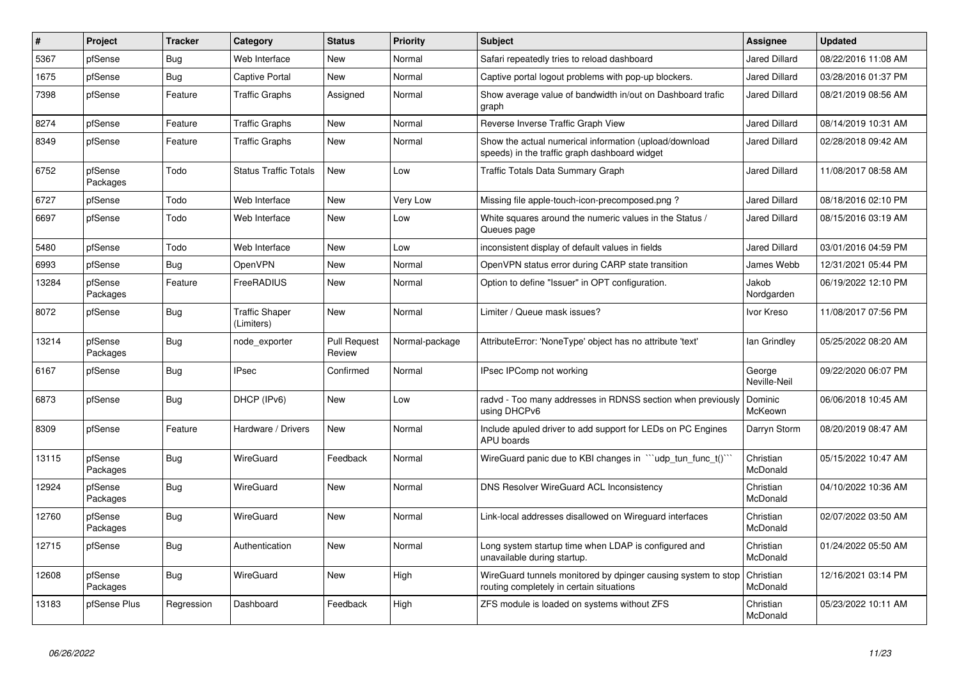| #     | Project             | <b>Tracker</b> | Category                            | <b>Status</b>                 | <b>Priority</b> | <b>Subject</b>                                                                                            | <b>Assignee</b>        | <b>Updated</b>      |
|-------|---------------------|----------------|-------------------------------------|-------------------------------|-----------------|-----------------------------------------------------------------------------------------------------------|------------------------|---------------------|
| 5367  | pfSense             | Bug            | Web Interface                       | <b>New</b>                    | Normal          | Safari repeatedly tries to reload dashboard                                                               | Jared Dillard          | 08/22/2016 11:08 AM |
| 1675  | pfSense             | <b>Bug</b>     | <b>Captive Portal</b>               | <b>New</b>                    | Normal          | Captive portal logout problems with pop-up blockers.                                                      | Jared Dillard          | 03/28/2016 01:37 PM |
| 7398  | pfSense             | Feature        | <b>Traffic Graphs</b>               | Assigned                      | Normal          | Show average value of bandwidth in/out on Dashboard trafic<br>graph                                       | Jared Dillard          | 08/21/2019 08:56 AM |
| 8274  | pfSense             | Feature        | <b>Traffic Graphs</b>               | <b>New</b>                    | Normal          | Reverse Inverse Traffic Graph View                                                                        | Jared Dillard          | 08/14/2019 10:31 AM |
| 8349  | pfSense             | Feature        | <b>Traffic Graphs</b>               | <b>New</b>                    | Normal          | Show the actual numerical information (upload/download<br>speeds) in the traffic graph dashboard widget   | Jared Dillard          | 02/28/2018 09:42 AM |
| 6752  | pfSense<br>Packages | Todo           | <b>Status Traffic Totals</b>        | <b>New</b>                    | Low             | <b>Traffic Totals Data Summary Graph</b>                                                                  | Jared Dillard          | 11/08/2017 08:58 AM |
| 6727  | pfSense             | Todo           | Web Interface                       | <b>New</b>                    | Very Low        | Missing file apple-touch-icon-precomposed.png?                                                            | Jared Dillard          | 08/18/2016 02:10 PM |
| 6697  | pfSense             | Todo           | Web Interface                       | <b>New</b>                    | Low             | White squares around the numeric values in the Status /<br>Queues page                                    | Jared Dillard          | 08/15/2016 03:19 AM |
| 5480  | pfSense             | Todo           | Web Interface                       | <b>New</b>                    | Low             | inconsistent display of default values in fields                                                          | Jared Dillard          | 03/01/2016 04:59 PM |
| 6993  | pfSense             | <b>Bug</b>     | OpenVPN                             | <b>New</b>                    | Normal          | OpenVPN status error during CARP state transition                                                         | James Webb             | 12/31/2021 05:44 PM |
| 13284 | pfSense<br>Packages | Feature        | FreeRADIUS                          | <b>New</b>                    | Normal          | Option to define "Issuer" in OPT configuration.                                                           | Jakob<br>Nordgarden    | 06/19/2022 12:10 PM |
| 8072  | pfSense             | Bug            | <b>Traffic Shaper</b><br>(Limiters) | <b>New</b>                    | Normal          | Limiter / Queue mask issues?                                                                              | Ivor Kreso             | 11/08/2017 07:56 PM |
| 13214 | pfSense<br>Packages | Bug            | node exporter                       | <b>Pull Request</b><br>Review | Normal-package  | AttributeError: 'NoneType' object has no attribute 'text'                                                 | lan Grindley           | 05/25/2022 08:20 AM |
| 6167  | pfSense             | Bug            | <b>IPsec</b>                        | Confirmed                     | Normal          | IPsec IPComp not working                                                                                  | George<br>Neville-Neil | 09/22/2020 06:07 PM |
| 6873  | pfSense             | Bug            | DHCP (IPv6)                         | <b>New</b>                    | Low             | radvd - Too many addresses in RDNSS section when previously<br>using DHCPv6                               | Dominic<br>McKeown     | 06/06/2018 10:45 AM |
| 8309  | pfSense             | Feature        | Hardware / Drivers                  | <b>New</b>                    | Normal          | Include apuled driver to add support for LEDs on PC Engines<br>APU boards                                 | Darryn Storm           | 08/20/2019 08:47 AM |
| 13115 | pfSense<br>Packages | Bug            | WireGuard                           | Feedback                      | Normal          | WireGuard panic due to KBI changes in ""udp_tun_func_t()""                                                | Christian<br>McDonald  | 05/15/2022 10:47 AM |
| 12924 | pfSense<br>Packages | Bug            | WireGuard                           | <b>New</b>                    | Normal          | DNS Resolver WireGuard ACL Inconsistency                                                                  | Christian<br>McDonald  | 04/10/2022 10:36 AM |
| 12760 | pfSense<br>Packages | Bug            | WireGuard                           | <b>New</b>                    | Normal          | Link-local addresses disallowed on Wireguard interfaces                                                   | Christian<br>McDonald  | 02/07/2022 03:50 AM |
| 12715 | pfSense             | <b>Bug</b>     | Authentication                      | <b>New</b>                    | Normal          | Long system startup time when LDAP is configured and<br>unavailable during startup.                       | Christian<br>McDonald  | 01/24/2022 05:50 AM |
| 12608 | pfSense<br>Packages | Bug            | WireGuard                           | <b>New</b>                    | High            | WireGuard tunnels monitored by dpinger causing system to stop<br>routing completely in certain situations | Christian<br>McDonald  | 12/16/2021 03:14 PM |
| 13183 | pfSense Plus        | Regression     | Dashboard                           | Feedback                      | High            | ZFS module is loaded on systems without ZFS                                                               | Christian<br>McDonald  | 05/23/2022 10:11 AM |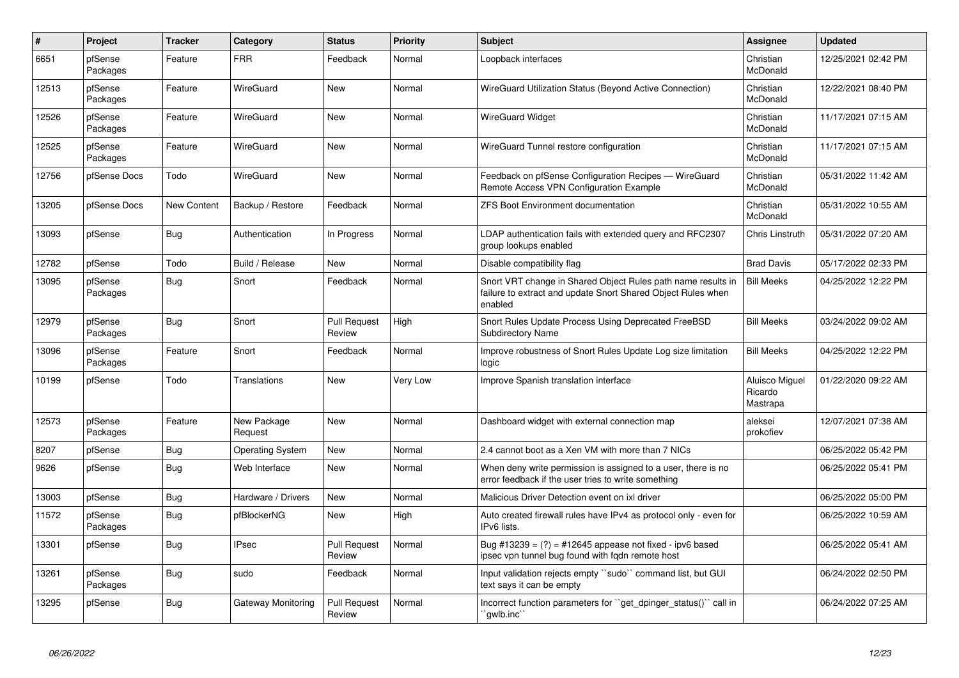| $\pmb{\#}$ | Project             | <b>Tracker</b>     | Category                | <b>Status</b>                 | <b>Priority</b> | <b>Subject</b>                                                                                                                          | Assignee                              | <b>Updated</b>      |
|------------|---------------------|--------------------|-------------------------|-------------------------------|-----------------|-----------------------------------------------------------------------------------------------------------------------------------------|---------------------------------------|---------------------|
| 6651       | pfSense<br>Packages | Feature            | <b>FRR</b>              | Feedback                      | Normal          | Loopback interfaces                                                                                                                     | Christian<br>McDonald                 | 12/25/2021 02:42 PM |
| 12513      | pfSense<br>Packages | Feature            | WireGuard               | <b>New</b>                    | Normal          | WireGuard Utilization Status (Beyond Active Connection)                                                                                 | Christian<br>McDonald                 | 12/22/2021 08:40 PM |
| 12526      | pfSense<br>Packages | Feature            | WireGuard               | <b>New</b>                    | Normal          | <b>WireGuard Widget</b>                                                                                                                 | Christian<br>McDonald                 | 11/17/2021 07:15 AM |
| 12525      | pfSense<br>Packages | Feature            | WireGuard               | <b>New</b>                    | Normal          | WireGuard Tunnel restore configuration                                                                                                  | Christian<br>McDonald                 | 11/17/2021 07:15 AM |
| 12756      | pfSense Docs        | Todo               | WireGuard               | <b>New</b>                    | Normal          | Feedback on pfSense Configuration Recipes - WireGuard<br>Remote Access VPN Configuration Example                                        | Christian<br>McDonald                 | 05/31/2022 11:42 AM |
| 13205      | pfSense Docs        | <b>New Content</b> | Backup / Restore        | Feedback                      | Normal          | <b>ZFS Boot Environment documentation</b>                                                                                               | Christian<br>McDonald                 | 05/31/2022 10:55 AM |
| 13093      | pfSense             | <b>Bug</b>         | Authentication          | In Progress                   | Normal          | LDAP authentication fails with extended query and RFC2307<br>group lookups enabled                                                      | Chris Linstruth                       | 05/31/2022 07:20 AM |
| 12782      | pfSense             | Todo               | Build / Release         | <b>New</b>                    | Normal          | Disable compatibility flag                                                                                                              | <b>Brad Davis</b>                     | 05/17/2022 02:33 PM |
| 13095      | pfSense<br>Packages | Bug                | Snort                   | Feedback                      | Normal          | Snort VRT change in Shared Object Rules path name results in<br>failure to extract and update Snort Shared Object Rules when<br>enabled | <b>Bill Meeks</b>                     | 04/25/2022 12:22 PM |
| 12979      | pfSense<br>Packages | Bug                | Snort                   | <b>Pull Request</b><br>Review | High            | Snort Rules Update Process Using Deprecated FreeBSD<br><b>Subdirectory Name</b>                                                         | <b>Bill Meeks</b>                     | 03/24/2022 09:02 AM |
| 13096      | pfSense<br>Packages | Feature            | Snort                   | Feedback                      | Normal          | Improve robustness of Snort Rules Update Log size limitation<br>logic                                                                   | <b>Bill Meeks</b>                     | 04/25/2022 12:22 PM |
| 10199      | pfSense             | Todo               | <b>Translations</b>     | New                           | Very Low        | Improve Spanish translation interface                                                                                                   | Aluisco Miguel<br>Ricardo<br>Mastrapa | 01/22/2020 09:22 AM |
| 12573      | pfSense<br>Packages | Feature            | New Package<br>Request  | <b>New</b>                    | Normal          | Dashboard widget with external connection map                                                                                           | aleksei<br>prokofiev                  | 12/07/2021 07:38 AM |
| 8207       | pfSense             | Bug                | <b>Operating System</b> | <b>New</b>                    | Normal          | 2.4 cannot boot as a Xen VM with more than 7 NICs                                                                                       |                                       | 06/25/2022 05:42 PM |
| 9626       | pfSense             | <b>Bug</b>         | Web Interface           | <b>New</b>                    | Normal          | When deny write permission is assigned to a user, there is no<br>error feedback if the user tries to write something                    |                                       | 06/25/2022 05:41 PM |
| 13003      | pfSense             | Bug                | Hardware / Drivers      | <b>New</b>                    | Normal          | Malicious Driver Detection event on ixl driver                                                                                          |                                       | 06/25/2022 05:00 PM |
| 11572      | pfSense<br>Packages | <b>Bug</b>         | pfBlockerNG             | <b>New</b>                    | High            | Auto created firewall rules have IPv4 as protocol only - even for<br>IPv6 lists.                                                        |                                       | 06/25/2022 10:59 AM |
| 13301      | pfSense             | Bug                | <b>IPsec</b>            | <b>Pull Request</b><br>Review | Normal          | Bug #13239 = $(?)$ = #12645 appease not fixed - ipv6 based<br>ipsec vpn tunnel bug found with fgdn remote host                          |                                       | 06/25/2022 05:41 AM |
| 13261      | pfSense<br>Packages | Bug                | sudo                    | Feedback                      | Normal          | Input validation rejects empty "sudo" command list, but GUI<br>text says it can be empty                                                |                                       | 06/24/2022 02:50 PM |
| 13295      | pfSense             | <b>Bug</b>         | Gateway Monitoring      | <b>Pull Request</b><br>Review | Normal          | Incorrect function parameters for "get_dpinger_status()" call in<br>`qwlb.inc``                                                         |                                       | 06/24/2022 07:25 AM |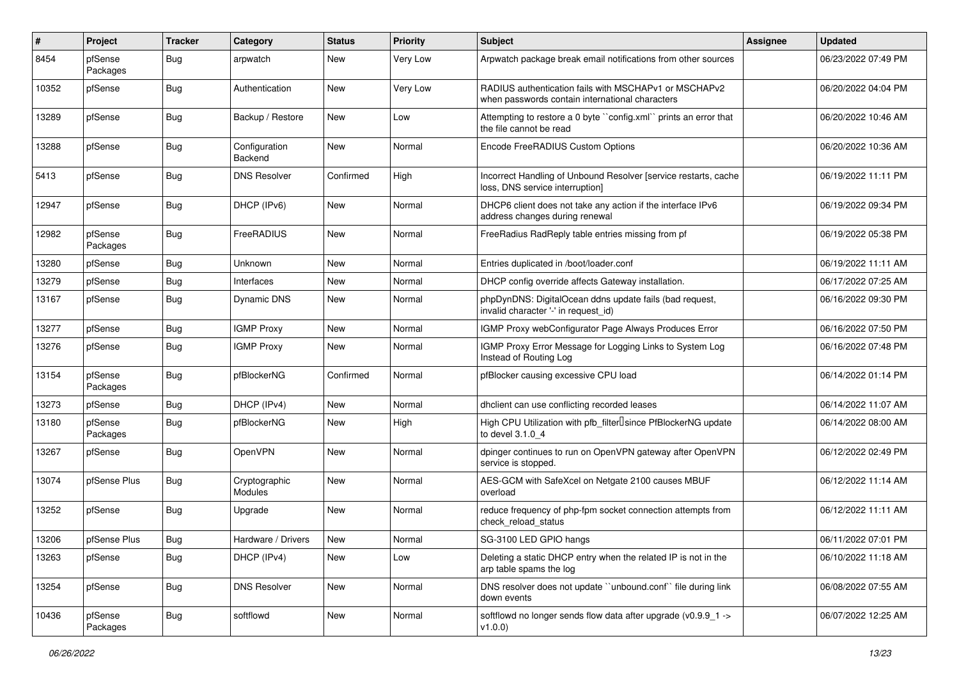| ∦     | Project             | <b>Tracker</b> | Category                 | <b>Status</b> | <b>Priority</b> | <b>Subject</b>                                                                                           | <b>Assignee</b> | <b>Updated</b>      |
|-------|---------------------|----------------|--------------------------|---------------|-----------------|----------------------------------------------------------------------------------------------------------|-----------------|---------------------|
| 8454  | pfSense<br>Packages | <b>Bug</b>     | arpwatch                 | New           | Very Low        | Arpwatch package break email notifications from other sources                                            |                 | 06/23/2022 07:49 PM |
| 10352 | pfSense             | Bug            | Authentication           | New           | Very Low        | RADIUS authentication fails with MSCHAPv1 or MSCHAPv2<br>when passwords contain international characters |                 | 06/20/2022 04:04 PM |
| 13289 | pfSense             | <b>Bug</b>     | Backup / Restore         | New           | Low             | Attempting to restore a 0 byte "config.xml" prints an error that<br>the file cannot be read              |                 | 06/20/2022 10:46 AM |
| 13288 | pfSense             | <b>Bug</b>     | Configuration<br>Backend | New           | Normal          | Encode FreeRADIUS Custom Options                                                                         |                 | 06/20/2022 10:36 AM |
| 5413  | pfSense             | <b>Bug</b>     | <b>DNS Resolver</b>      | Confirmed     | High            | Incorrect Handling of Unbound Resolver [service restarts, cache<br>loss, DNS service interruption]       |                 | 06/19/2022 11:11 PM |
| 12947 | pfSense             | <b>Bug</b>     | DHCP (IPv6)              | New           | Normal          | DHCP6 client does not take any action if the interface IPv6<br>address changes during renewal            |                 | 06/19/2022 09:34 PM |
| 12982 | pfSense<br>Packages | <b>Bug</b>     | FreeRADIUS               | New           | Normal          | FreeRadius RadReply table entries missing from pf                                                        |                 | 06/19/2022 05:38 PM |
| 13280 | pfSense             | <b>Bug</b>     | Unknown                  | <b>New</b>    | Normal          | Entries duplicated in /boot/loader.conf                                                                  |                 | 06/19/2022 11:11 AM |
| 13279 | pfSense             | <b>Bug</b>     | Interfaces               | <b>New</b>    | Normal          | DHCP config override affects Gateway installation.                                                       |                 | 06/17/2022 07:25 AM |
| 13167 | pfSense             | <b>Bug</b>     | <b>Dynamic DNS</b>       | New           | Normal          | phpDynDNS: DigitalOcean ddns update fails (bad request,<br>invalid character '-' in request id)          |                 | 06/16/2022 09:30 PM |
| 13277 | pfSense             | <b>Bug</b>     | <b>IGMP Proxy</b>        | <b>New</b>    | Normal          | IGMP Proxy webConfigurator Page Always Produces Error                                                    |                 | 06/16/2022 07:50 PM |
| 13276 | pfSense             | <b>Bug</b>     | <b>IGMP Proxy</b>        | New           | Normal          | IGMP Proxy Error Message for Logging Links to System Log<br>Instead of Routing Log                       |                 | 06/16/2022 07:48 PM |
| 13154 | pfSense<br>Packages | <b>Bug</b>     | pfBlockerNG              | Confirmed     | Normal          | pfBlocker causing excessive CPU load                                                                     |                 | 06/14/2022 01:14 PM |
| 13273 | pfSense             | <b>Bug</b>     | DHCP (IPv4)              | New           | Normal          | dhclient can use conflicting recorded leases                                                             |                 | 06/14/2022 11:07 AM |
| 13180 | pfSense<br>Packages | Bug            | pfBlockerNG              | New           | High            | High CPU Utilization with pfb_filter <sup>[]</sup> since PfBlockerNG update<br>to devel 3.1.0 4          |                 | 06/14/2022 08:00 AM |
| 13267 | pfSense             | <b>Bug</b>     | OpenVPN                  | <b>New</b>    | Normal          | dpinger continues to run on OpenVPN gateway after OpenVPN<br>service is stopped.                         |                 | 06/12/2022 02:49 PM |
| 13074 | pfSense Plus        | <b>Bug</b>     | Cryptographic<br>Modules | New           | Normal          | AES-GCM with SafeXcel on Netgate 2100 causes MBUF<br>overload                                            |                 | 06/12/2022 11:14 AM |
| 13252 | pfSense             | <b>Bug</b>     | Upgrade                  | New           | Normal          | reduce frequency of php-fpm socket connection attempts from<br>check_reload_status                       |                 | 06/12/2022 11:11 AM |
| 13206 | pfSense Plus        | Bug            | Hardware / Drivers       | New           | Normal          | SG-3100 LED GPIO hangs                                                                                   |                 | 06/11/2022 07:01 PM |
| 13263 | pfSense             | <b>Bug</b>     | DHCP (IPv4)              | New           | Low             | Deleting a static DHCP entry when the related IP is not in the<br>arp table spams the log                |                 | 06/10/2022 11:18 AM |
| 13254 | pfSense             | Bug            | <b>DNS Resolver</b>      | New           | Normal          | DNS resolver does not update "unbound.conf" file during link<br>down events                              |                 | 06/08/2022 07:55 AM |
| 10436 | pfSense<br>Packages | <b>Bug</b>     | softflowd                | New           | Normal          | softflowd no longer sends flow data after upgrade (v0.9.9_1 -><br>v1.0.0                                 |                 | 06/07/2022 12:25 AM |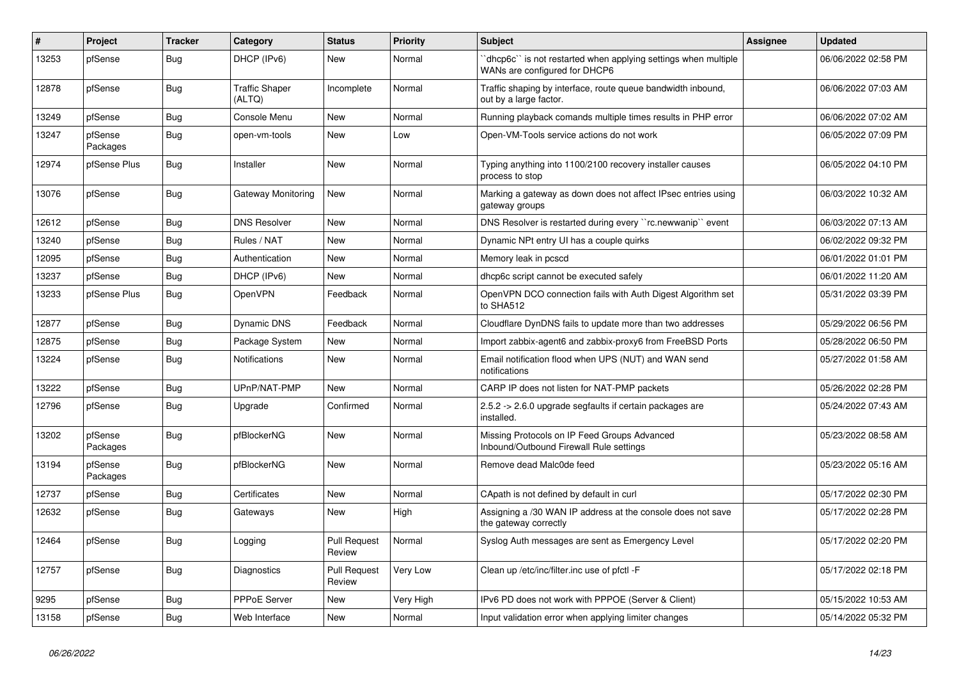| #     | Project             | <b>Tracker</b> | Category                        | <b>Status</b>                 | <b>Priority</b> | <b>Subject</b>                                                                                  | Assignee | <b>Updated</b>      |
|-------|---------------------|----------------|---------------------------------|-------------------------------|-----------------|-------------------------------------------------------------------------------------------------|----------|---------------------|
| 13253 | pfSense             | <b>Bug</b>     | DHCP (IPv6)                     | New                           | Normal          | dhcp6c`` is not restarted when applying settings when multiple<br>WANs are configured for DHCP6 |          | 06/06/2022 02:58 PM |
| 12878 | pfSense             | <b>Bug</b>     | <b>Traffic Shaper</b><br>(ALTQ) | Incomplete                    | Normal          | Traffic shaping by interface, route queue bandwidth inbound,<br>out by a large factor.          |          | 06/06/2022 07:03 AM |
| 13249 | pfSense             | <b>Bug</b>     | Console Menu                    | <b>New</b>                    | Normal          | Running playback comands multiple times results in PHP error                                    |          | 06/06/2022 07:02 AM |
| 13247 | pfSense<br>Packages | <b>Bug</b>     | open-vm-tools                   | <b>New</b>                    | Low             | Open-VM-Tools service actions do not work                                                       |          | 06/05/2022 07:09 PM |
| 12974 | pfSense Plus        | <b>Bug</b>     | Installer                       | <b>New</b>                    | Normal          | Typing anything into 1100/2100 recovery installer causes<br>process to stop                     |          | 06/05/2022 04:10 PM |
| 13076 | pfSense             | <b>Bug</b>     | <b>Gateway Monitoring</b>       | <b>New</b>                    | Normal          | Marking a gateway as down does not affect IPsec entries using<br>gateway groups                 |          | 06/03/2022 10:32 AM |
| 12612 | pfSense             | Bug            | <b>DNS Resolver</b>             | <b>New</b>                    | Normal          | DNS Resolver is restarted during every "rc.newwanip" event                                      |          | 06/03/2022 07:13 AM |
| 13240 | pfSense             | <b>Bug</b>     | Rules / NAT                     | <b>New</b>                    | Normal          | Dynamic NPt entry UI has a couple quirks                                                        |          | 06/02/2022 09:32 PM |
| 12095 | pfSense             | Bug            | Authentication                  | <b>New</b>                    | Normal          | Memory leak in pcscd                                                                            |          | 06/01/2022 01:01 PM |
| 13237 | pfSense             | Bug            | DHCP (IPv6)                     | <b>New</b>                    | Normal          | dhcp6c script cannot be executed safely                                                         |          | 06/01/2022 11:20 AM |
| 13233 | pfSense Plus        | <b>Bug</b>     | OpenVPN                         | Feedback                      | Normal          | OpenVPN DCO connection fails with Auth Digest Algorithm set<br>to SHA512                        |          | 05/31/2022 03:39 PM |
| 12877 | pfSense             | Bug            | <b>Dynamic DNS</b>              | Feedback                      | Normal          | Cloudflare DynDNS fails to update more than two addresses                                       |          | 05/29/2022 06:56 PM |
| 12875 | pfSense             | Bug            | Package System                  | New                           | Normal          | Import zabbix-agent6 and zabbix-proxy6 from FreeBSD Ports                                       |          | 05/28/2022 06:50 PM |
| 13224 | pfSense             | Bug            | <b>Notifications</b>            | <b>New</b>                    | Normal          | Email notification flood when UPS (NUT) and WAN send<br>notifications                           |          | 05/27/2022 01:58 AM |
| 13222 | pfSense             | <b>Bug</b>     | UPnP/NAT-PMP                    | <b>New</b>                    | Normal          | CARP IP does not listen for NAT-PMP packets                                                     |          | 05/26/2022 02:28 PM |
| 12796 | pfSense             | <b>Bug</b>     | Upgrade                         | Confirmed                     | Normal          | 2.5.2 -> 2.6.0 upgrade segfaults if certain packages are<br>installed.                          |          | 05/24/2022 07:43 AM |
| 13202 | pfSense<br>Packages | Bug            | pfBlockerNG                     | <b>New</b>                    | Normal          | Missing Protocols on IP Feed Groups Advanced<br>Inbound/Outbound Firewall Rule settings         |          | 05/23/2022 08:58 AM |
| 13194 | pfSense<br>Packages | Bug            | pfBlockerNG                     | <b>New</b>                    | Normal          | Remove dead Malc0de feed                                                                        |          | 05/23/2022 05:16 AM |
| 12737 | pfSense             | <b>Bug</b>     | Certificates                    | <b>New</b>                    | Normal          | CApath is not defined by default in curl                                                        |          | 05/17/2022 02:30 PM |
| 12632 | pfSense             | Bug            | Gateways                        | <b>New</b>                    | High            | Assigning a /30 WAN IP address at the console does not save<br>the gateway correctly            |          | 05/17/2022 02:28 PM |
| 12464 | pfSense             | <b>Bug</b>     | Logging                         | <b>Pull Request</b><br>Review | Normal          | Syslog Auth messages are sent as Emergency Level                                                |          | 05/17/2022 02:20 PM |
| 12757 | pfSense             | <b>Bug</b>     | Diagnostics                     | <b>Pull Request</b><br>Review | Very Low        | Clean up /etc/inc/filter.inc use of pfctl -F                                                    |          | 05/17/2022 02:18 PM |
| 9295  | pfSense             | <b>Bug</b>     | <b>PPPoE Server</b>             | <b>New</b>                    | Very High       | IPv6 PD does not work with PPPOE (Server & Client)                                              |          | 05/15/2022 10:53 AM |
| 13158 | pfSense             | Bug            | Web Interface                   | <b>New</b>                    | Normal          | Input validation error when applying limiter changes                                            |          | 05/14/2022 05:32 PM |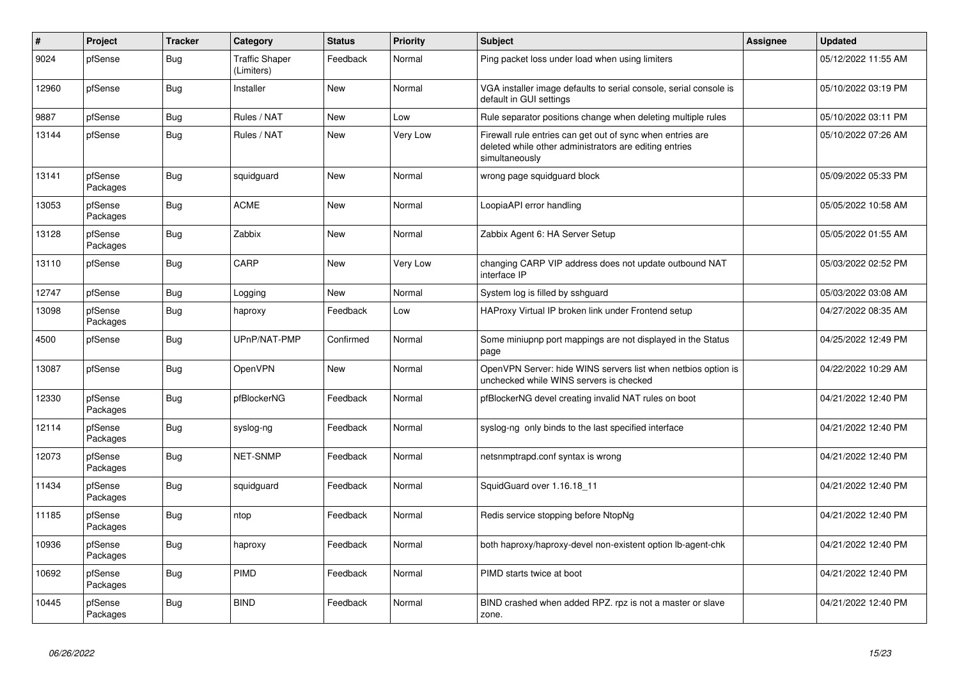| $\vert$ # | Project             | <b>Tracker</b> | Category                            | <b>Status</b> | <b>Priority</b> | <b>Subject</b>                                                                                                                         | <b>Assignee</b> | <b>Updated</b>      |
|-----------|---------------------|----------------|-------------------------------------|---------------|-----------------|----------------------------------------------------------------------------------------------------------------------------------------|-----------------|---------------------|
| 9024      | pfSense             | <b>Bug</b>     | <b>Traffic Shaper</b><br>(Limiters) | Feedback      | Normal          | Ping packet loss under load when using limiters                                                                                        |                 | 05/12/2022 11:55 AM |
| 12960     | pfSense             | Bug            | Installer                           | New           | Normal          | VGA installer image defaults to serial console, serial console is<br>default in GUI settings                                           |                 | 05/10/2022 03:19 PM |
| 9887      | pfSense             | <b>Bug</b>     | Rules / NAT                         | <b>New</b>    | Low             | Rule separator positions change when deleting multiple rules                                                                           |                 | 05/10/2022 03:11 PM |
| 13144     | pfSense             | <b>Bug</b>     | Rules / NAT                         | New           | Very Low        | Firewall rule entries can get out of sync when entries are<br>deleted while other administrators are editing entries<br>simultaneously |                 | 05/10/2022 07:26 AM |
| 13141     | pfSense<br>Packages | <b>Bug</b>     | squidguard                          | <b>New</b>    | Normal          | wrong page squidguard block                                                                                                            |                 | 05/09/2022 05:33 PM |
| 13053     | pfSense<br>Packages | <b>Bug</b>     | ACME                                | <b>New</b>    | Normal          | LoopiaAPI error handling                                                                                                               |                 | 05/05/2022 10:58 AM |
| 13128     | pfSense<br>Packages | Bug            | Zabbix                              | <b>New</b>    | Normal          | Zabbix Agent 6: HA Server Setup                                                                                                        |                 | 05/05/2022 01:55 AM |
| 13110     | pfSense             | <b>Bug</b>     | CARP                                | <b>New</b>    | Very Low        | changing CARP VIP address does not update outbound NAT<br>interface IP                                                                 |                 | 05/03/2022 02:52 PM |
| 12747     | pfSense             | <b>Bug</b>     | Logging                             | <b>New</b>    | Normal          | System log is filled by sshguard                                                                                                       |                 | 05/03/2022 03:08 AM |
| 13098     | pfSense<br>Packages | <b>Bug</b>     | haproxy                             | Feedback      | Low             | HAProxy Virtual IP broken link under Frontend setup                                                                                    |                 | 04/27/2022 08:35 AM |
| 4500      | pfSense             | <b>Bug</b>     | UPnP/NAT-PMP                        | Confirmed     | Normal          | Some miniupnp port mappings are not displayed in the Status<br>page                                                                    |                 | 04/25/2022 12:49 PM |
| 13087     | pfSense             | <b>Bug</b>     | <b>OpenVPN</b>                      | New           | Normal          | OpenVPN Server: hide WINS servers list when netbios option is<br>unchecked while WINS servers is checked                               |                 | 04/22/2022 10:29 AM |
| 12330     | pfSense<br>Packages | <b>Bug</b>     | pfBlockerNG                         | Feedback      | Normal          | pfBlockerNG devel creating invalid NAT rules on boot                                                                                   |                 | 04/21/2022 12:40 PM |
| 12114     | pfSense<br>Packages | <b>Bug</b>     | syslog-ng                           | Feedback      | Normal          | syslog-ng only binds to the last specified interface                                                                                   |                 | 04/21/2022 12:40 PM |
| 12073     | pfSense<br>Packages | <b>Bug</b>     | NET-SNMP                            | Feedback      | Normal          | netsnmptrapd.conf syntax is wrong                                                                                                      |                 | 04/21/2022 12:40 PM |
| 11434     | pfSense<br>Packages | <b>Bug</b>     | squidguard                          | Feedback      | Normal          | SquidGuard over 1.16.18_11                                                                                                             |                 | 04/21/2022 12:40 PM |
| 11185     | pfSense<br>Packages | <b>Bug</b>     | ntop                                | Feedback      | Normal          | Redis service stopping before NtopNg                                                                                                   |                 | 04/21/2022 12:40 PM |
| 10936     | pfSense<br>Packages | <b>Bug</b>     | haproxy                             | Feedback      | Normal          | both haproxy/haproxy-devel non-existent option lb-agent-chk                                                                            |                 | 04/21/2022 12:40 PM |
| 10692     | pfSense<br>Packages | Bug            | PIMD                                | Feedback      | Normal          | PIMD starts twice at boot                                                                                                              |                 | 04/21/2022 12:40 PM |
| 10445     | pfSense<br>Packages | Bug            | <b>BIND</b>                         | Feedback      | Normal          | BIND crashed when added RPZ. rpz is not a master or slave<br>zone.                                                                     |                 | 04/21/2022 12:40 PM |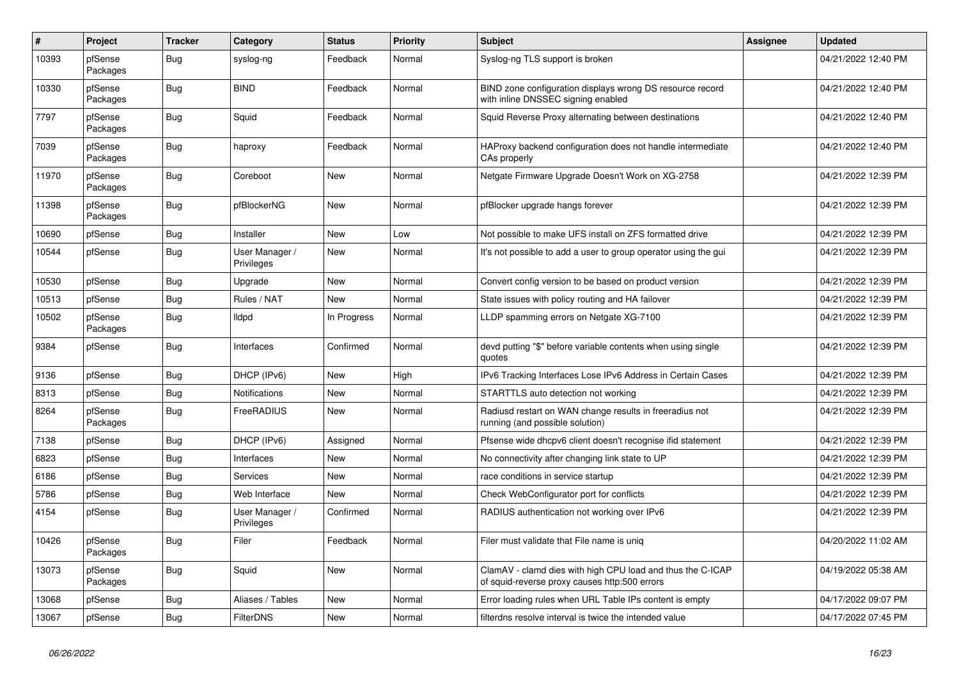| $\sharp$ | Project             | <b>Tracker</b> | Category                     | <b>Status</b> | <b>Priority</b> | <b>Subject</b>                                                                                              | <b>Assignee</b> | <b>Updated</b>      |
|----------|---------------------|----------------|------------------------------|---------------|-----------------|-------------------------------------------------------------------------------------------------------------|-----------------|---------------------|
| 10393    | pfSense<br>Packages | Bug            | syslog-ng                    | Feedback      | Normal          | Syslog-ng TLS support is broken                                                                             |                 | 04/21/2022 12:40 PM |
| 10330    | pfSense<br>Packages | <b>Bug</b>     | <b>BIND</b>                  | Feedback      | Normal          | BIND zone configuration displays wrong DS resource record<br>with inline DNSSEC signing enabled             |                 | 04/21/2022 12:40 PM |
| 7797     | pfSense<br>Packages | <b>Bug</b>     | Squid                        | Feedback      | Normal          | Squid Reverse Proxy alternating between destinations                                                        |                 | 04/21/2022 12:40 PM |
| 7039     | pfSense<br>Packages | Bug            | haproxy                      | Feedback      | Normal          | HAProxy backend configuration does not handle intermediate<br>CAs properly                                  |                 | 04/21/2022 12:40 PM |
| 11970    | pfSense<br>Packages | Bug            | Coreboot                     | New           | Normal          | Netgate Firmware Upgrade Doesn't Work on XG-2758                                                            |                 | 04/21/2022 12:39 PM |
| 11398    | pfSense<br>Packages | <b>Bug</b>     | pfBlockerNG                  | <b>New</b>    | Normal          | pfBlocker upgrade hangs forever                                                                             |                 | 04/21/2022 12:39 PM |
| 10690    | pfSense             | Bug            | Installer                    | <b>New</b>    | Low             | Not possible to make UFS install on ZFS formatted drive                                                     |                 | 04/21/2022 12:39 PM |
| 10544    | pfSense             | <b>Bug</b>     | User Manager /<br>Privileges | <b>New</b>    | Normal          | It's not possible to add a user to group operator using the gui                                             |                 | 04/21/2022 12:39 PM |
| 10530    | pfSense             | Bug            | Upgrade                      | <b>New</b>    | Normal          | Convert config version to be based on product version                                                       |                 | 04/21/2022 12:39 PM |
| 10513    | pfSense             | <b>Bug</b>     | Rules / NAT                  | <b>New</b>    | Normal          | State issues with policy routing and HA failover                                                            |                 | 04/21/2022 12:39 PM |
| 10502    | pfSense<br>Packages | <b>Bug</b>     | lldpd                        | In Progress   | Normal          | LLDP spamming errors on Netgate XG-7100                                                                     |                 | 04/21/2022 12:39 PM |
| 9384     | pfSense             | <b>Bug</b>     | Interfaces                   | Confirmed     | Normal          | devd putting "\$" before variable contents when using single<br>quotes                                      |                 | 04/21/2022 12:39 PM |
| 9136     | pfSense             | Bug            | DHCP (IPv6)                  | <b>New</b>    | High            | IPv6 Tracking Interfaces Lose IPv6 Address in Certain Cases                                                 |                 | 04/21/2022 12:39 PM |
| 8313     | pfSense             | <b>Bug</b>     | <b>Notifications</b>         | <b>New</b>    | Normal          | STARTTLS auto detection not working                                                                         |                 | 04/21/2022 12:39 PM |
| 8264     | pfSense<br>Packages | <b>Bug</b>     | FreeRADIUS                   | New           | Normal          | Radiusd restart on WAN change results in freeradius not<br>running (and possible solution)                  |                 | 04/21/2022 12:39 PM |
| 7138     | pfSense             | <b>Bug</b>     | DHCP (IPv6)                  | Assigned      | Normal          | Pfsense wide dhcpv6 client doesn't recognise if id statement                                                |                 | 04/21/2022 12:39 PM |
| 6823     | pfSense             | Bug            | Interfaces                   | New           | Normal          | No connectivity after changing link state to UP                                                             |                 | 04/21/2022 12:39 PM |
| 6186     | pfSense             | <b>Bug</b>     | Services                     | New           | Normal          | race conditions in service startup                                                                          |                 | 04/21/2022 12:39 PM |
| 5786     | pfSense             | <b>Bug</b>     | Web Interface                | New           | Normal          | Check WebConfigurator port for conflicts                                                                    |                 | 04/21/2022 12:39 PM |
| 4154     | pfSense             | <b>Bug</b>     | User Manager /<br>Privileges | Confirmed     | Normal          | RADIUS authentication not working over IPv6                                                                 |                 | 04/21/2022 12:39 PM |
| 10426    | pfSense<br>Packages | <b>Bug</b>     | Filer                        | Feedback      | Normal          | Filer must validate that File name is uniq                                                                  |                 | 04/20/2022 11:02 AM |
| 13073    | pfSense<br>Packages | <b>Bug</b>     | Squid                        | <b>New</b>    | Normal          | ClamAV - clamd dies with high CPU load and thus the C-ICAP<br>of squid-reverse proxy causes http:500 errors |                 | 04/19/2022 05:38 AM |
| 13068    | pfSense             | Bug            | Aliases / Tables             | <b>New</b>    | Normal          | Error loading rules when URL Table IPs content is empty                                                     |                 | 04/17/2022 09:07 PM |
| 13067    | pfSense             | Bug            | <b>FilterDNS</b>             | <b>New</b>    | Normal          | filterdns resolve interval is twice the intended value                                                      |                 | 04/17/2022 07:45 PM |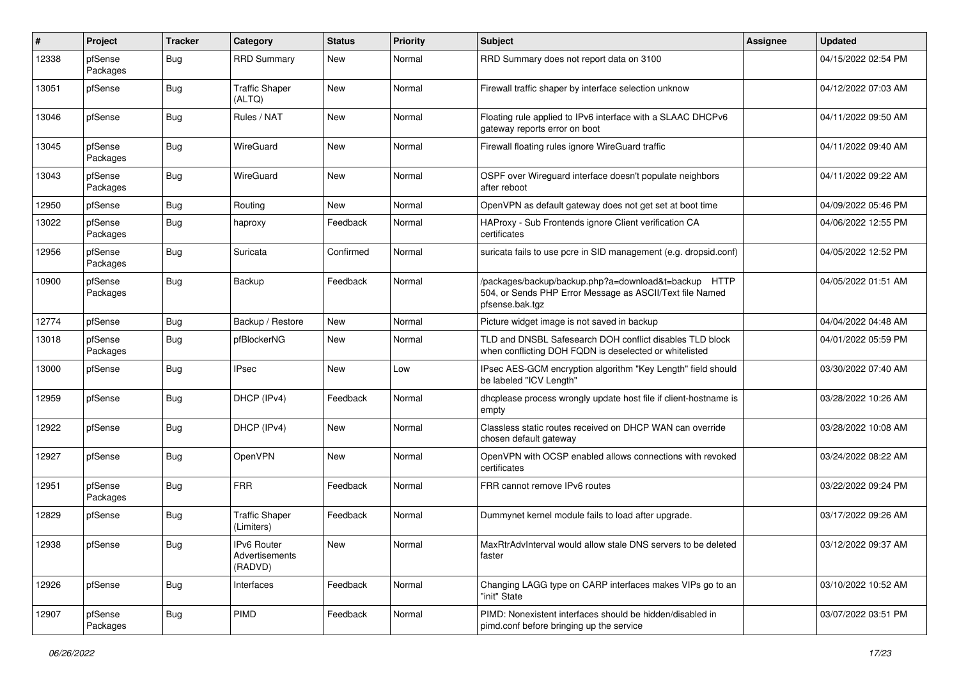| #     | Project             | <b>Tracker</b> | Category                                 | <b>Status</b> | <b>Priority</b> | <b>Subject</b>                                                                                                                      | Assignee | <b>Updated</b>      |
|-------|---------------------|----------------|------------------------------------------|---------------|-----------------|-------------------------------------------------------------------------------------------------------------------------------------|----------|---------------------|
| 12338 | pfSense<br>Packages | Bug            | <b>RRD Summary</b>                       | New           | Normal          | RRD Summary does not report data on 3100                                                                                            |          | 04/15/2022 02:54 PM |
| 13051 | pfSense             | <b>Bug</b>     | <b>Traffic Shaper</b><br>(ALTQ)          | New           | Normal          | Firewall traffic shaper by interface selection unknow                                                                               |          | 04/12/2022 07:03 AM |
| 13046 | pfSense             | <b>Bug</b>     | Rules / NAT                              | New           | Normal          | Floating rule applied to IPv6 interface with a SLAAC DHCPv6<br>gateway reports error on boot                                        |          | 04/11/2022 09:50 AM |
| 13045 | pfSense<br>Packages | Bug            | WireGuard                                | <b>New</b>    | Normal          | Firewall floating rules ignore WireGuard traffic                                                                                    |          | 04/11/2022 09:40 AM |
| 13043 | pfSense<br>Packages | <b>Bug</b>     | WireGuard                                | New           | Normal          | OSPF over Wireguard interface doesn't populate neighbors<br>after reboot                                                            |          | 04/11/2022 09:22 AM |
| 12950 | pfSense             | <b>Bug</b>     | Routing                                  | New           | Normal          | OpenVPN as default gateway does not get set at boot time                                                                            |          | 04/09/2022 05:46 PM |
| 13022 | pfSense<br>Packages | <b>Bug</b>     | haproxy                                  | Feedback      | Normal          | HAProxy - Sub Frontends ignore Client verification CA<br>certificates                                                               |          | 04/06/2022 12:55 PM |
| 12956 | pfSense<br>Packages | <b>Bug</b>     | Suricata                                 | Confirmed     | Normal          | suricata fails to use pcre in SID management (e.g. dropsid.conf)                                                                    |          | 04/05/2022 12:52 PM |
| 10900 | pfSense<br>Packages | <b>Bug</b>     | Backup                                   | Feedback      | Normal          | /packages/backup/backup.php?a=download&t=backup HTTP<br>504, or Sends PHP Error Message as ASCII/Text file Named<br>pfsense.bak.tgz |          | 04/05/2022 01:51 AM |
| 12774 | pfSense             | <b>Bug</b>     | Backup / Restore                         | <b>New</b>    | Normal          | Picture widget image is not saved in backup                                                                                         |          | 04/04/2022 04:48 AM |
| 13018 | pfSense<br>Packages | <b>Bug</b>     | pfBlockerNG                              | New           | Normal          | TLD and DNSBL Safesearch DOH conflict disables TLD block<br>when conflicting DOH FQDN is deselected or whitelisted                  |          | 04/01/2022 05:59 PM |
| 13000 | pfSense             | <b>Bug</b>     | IPsec                                    | New           | Low             | IPsec AES-GCM encryption algorithm "Key Length" field should<br>be labeled "ICV Length"                                             |          | 03/30/2022 07:40 AM |
| 12959 | pfSense             | <b>Bug</b>     | DHCP (IPv4)                              | Feedback      | Normal          | dhcplease process wrongly update host file if client-hostname is<br>empty                                                           |          | 03/28/2022 10:26 AM |
| 12922 | pfSense             | <b>Bug</b>     | DHCP (IPv4)                              | New           | Normal          | Classless static routes received on DHCP WAN can override<br>chosen default gateway                                                 |          | 03/28/2022 10:08 AM |
| 12927 | pfSense             | <b>Bug</b>     | <b>OpenVPN</b>                           | New           | Normal          | OpenVPN with OCSP enabled allows connections with revoked<br>certificates                                                           |          | 03/24/2022 08:22 AM |
| 12951 | pfSense<br>Packages | <b>Bug</b>     | <b>FRR</b>                               | Feedback      | Normal          | FRR cannot remove IPv6 routes                                                                                                       |          | 03/22/2022 09:24 PM |
| 12829 | pfSense             | Bug            | <b>Traffic Shaper</b><br>(Limiters)      | Feedback      | Normal          | Dummynet kernel module fails to load after upgrade.                                                                                 |          | 03/17/2022 09:26 AM |
| 12938 | pfSense             | Bug            | IPv6 Router<br>Advertisements<br>(RADVD) | New           | Normal          | MaxRtrAdvInterval would allow stale DNS servers to be deleted<br>faster                                                             |          | 03/12/2022 09:37 AM |
| 12926 | pfSense             | Bug            | Interfaces                               | Feedback      | Normal          | Changing LAGG type on CARP interfaces makes VIPs go to an<br>"init" State                                                           |          | 03/10/2022 10:52 AM |
| 12907 | pfSense<br>Packages | Bug            | PIMD                                     | Feedback      | Normal          | PIMD: Nonexistent interfaces should be hidden/disabled in<br>pimd.conf before bringing up the service                               |          | 03/07/2022 03:51 PM |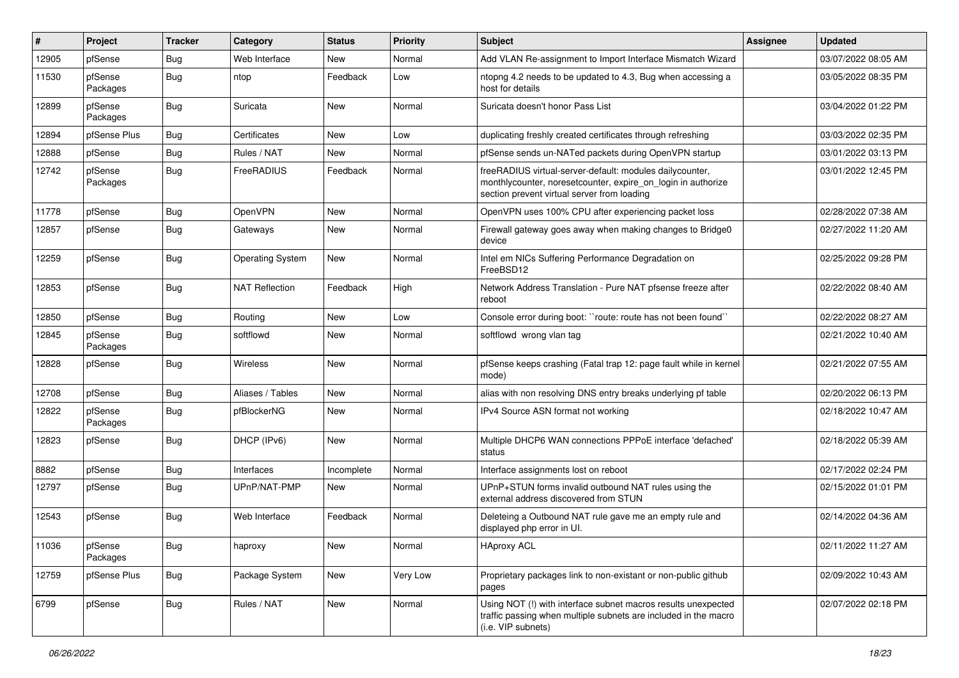| #     | Project             | <b>Tracker</b> | Category                | <b>Status</b> | <b>Priority</b> | Subject                                                                                                                                                                 | <b>Assignee</b> | <b>Updated</b>      |
|-------|---------------------|----------------|-------------------------|---------------|-----------------|-------------------------------------------------------------------------------------------------------------------------------------------------------------------------|-----------------|---------------------|
| 12905 | pfSense             | <b>Bug</b>     | Web Interface           | New           | Normal          | Add VLAN Re-assignment to Import Interface Mismatch Wizard                                                                                                              |                 | 03/07/2022 08:05 AM |
| 11530 | pfSense<br>Packages | <b>Bug</b>     | ntop                    | Feedback      | Low             | ntopng 4.2 needs to be updated to 4.3, Bug when accessing a<br>host for details                                                                                         |                 | 03/05/2022 08:35 PM |
| 12899 | pfSense<br>Packages | <b>Bug</b>     | Suricata                | New           | Normal          | Suricata doesn't honor Pass List                                                                                                                                        |                 | 03/04/2022 01:22 PM |
| 12894 | pfSense Plus        | Bug            | Certificates            | New           | Low             | duplicating freshly created certificates through refreshing                                                                                                             |                 | 03/03/2022 02:35 PM |
| 12888 | pfSense             | <b>Bug</b>     | Rules / NAT             | New           | Normal          | pfSense sends un-NATed packets during OpenVPN startup                                                                                                                   |                 | 03/01/2022 03:13 PM |
| 12742 | pfSense<br>Packages | <b>Bug</b>     | FreeRADIUS              | Feedback      | Normal          | freeRADIUS virtual-server-default: modules dailycounter,<br>monthlycounter, noresetcounter, expire_on_login in authorize<br>section prevent virtual server from loading |                 | 03/01/2022 12:45 PM |
| 11778 | pfSense             | <b>Bug</b>     | OpenVPN                 | <b>New</b>    | Normal          | OpenVPN uses 100% CPU after experiencing packet loss                                                                                                                    |                 | 02/28/2022 07:38 AM |
| 12857 | pfSense             | Bug            | Gateways                | New           | Normal          | Firewall gateway goes away when making changes to Bridge0<br>device                                                                                                     |                 | 02/27/2022 11:20 AM |
| 12259 | pfSense             | <b>Bug</b>     | <b>Operating System</b> | New           | Normal          | Intel em NICs Suffering Performance Degradation on<br>FreeBSD12                                                                                                         |                 | 02/25/2022 09:28 PM |
| 12853 | pfSense             | <b>Bug</b>     | <b>NAT Reflection</b>   | Feedback      | High            | Network Address Translation - Pure NAT pfsense freeze after<br>reboot                                                                                                   |                 | 02/22/2022 08:40 AM |
| 12850 | pfSense             | <b>Bug</b>     | Routing                 | <b>New</b>    | Low             | Console error during boot: "route: route has not been found"                                                                                                            |                 | 02/22/2022 08:27 AM |
| 12845 | pfSense<br>Packages | <b>Bug</b>     | softflowd               | <b>New</b>    | Normal          | softflowd wrong vlan tag                                                                                                                                                |                 | 02/21/2022 10:40 AM |
| 12828 | pfSense             | <b>Bug</b>     | Wireless                | New           | Normal          | pfSense keeps crashing (Fatal trap 12: page fault while in kernel<br>mode)                                                                                              |                 | 02/21/2022 07:55 AM |
| 12708 | pfSense             | <b>Bug</b>     | Aliases / Tables        | New           | Normal          | alias with non resolving DNS entry breaks underlying pf table                                                                                                           |                 | 02/20/2022 06:13 PM |
| 12822 | pfSense<br>Packages | <b>Bug</b>     | pfBlockerNG             | New           | Normal          | IPv4 Source ASN format not working                                                                                                                                      |                 | 02/18/2022 10:47 AM |
| 12823 | pfSense             | <b>Bug</b>     | DHCP (IPv6)             | New           | Normal          | Multiple DHCP6 WAN connections PPPoE interface 'defached'<br>status                                                                                                     |                 | 02/18/2022 05:39 AM |
| 8882  | pfSense             | <b>Bug</b>     | Interfaces              | Incomplete    | Normal          | Interface assignments lost on reboot                                                                                                                                    |                 | 02/17/2022 02:24 PM |
| 12797 | pfSense             | <b>Bug</b>     | UPnP/NAT-PMP            | New           | Normal          | UPnP+STUN forms invalid outbound NAT rules using the<br>external address discovered from STUN                                                                           |                 | 02/15/2022 01:01 PM |
| 12543 | pfSense             | <b>Bug</b>     | Web Interface           | Feedback      | Normal          | Deleteing a Outbound NAT rule gave me an empty rule and<br>displayed php error in UI.                                                                                   |                 | 02/14/2022 04:36 AM |
| 11036 | pfSense<br>Packages | <b>Bug</b>     | haproxy                 | New           | Normal          | <b>HAproxy ACL</b>                                                                                                                                                      |                 | 02/11/2022 11:27 AM |
| 12759 | pfSense Plus        | <b>Bug</b>     | Package System          | New           | Very Low        | Proprietary packages link to non-existant or non-public github<br>pages                                                                                                 |                 | 02/09/2022 10:43 AM |
| 6799  | pfSense             | Bug            | Rules / NAT             | New           | Normal          | Using NOT (!) with interface subnet macros results unexpected<br>traffic passing when multiple subnets are included in the macro<br>(i.e. VIP subnets)                  |                 | 02/07/2022 02:18 PM |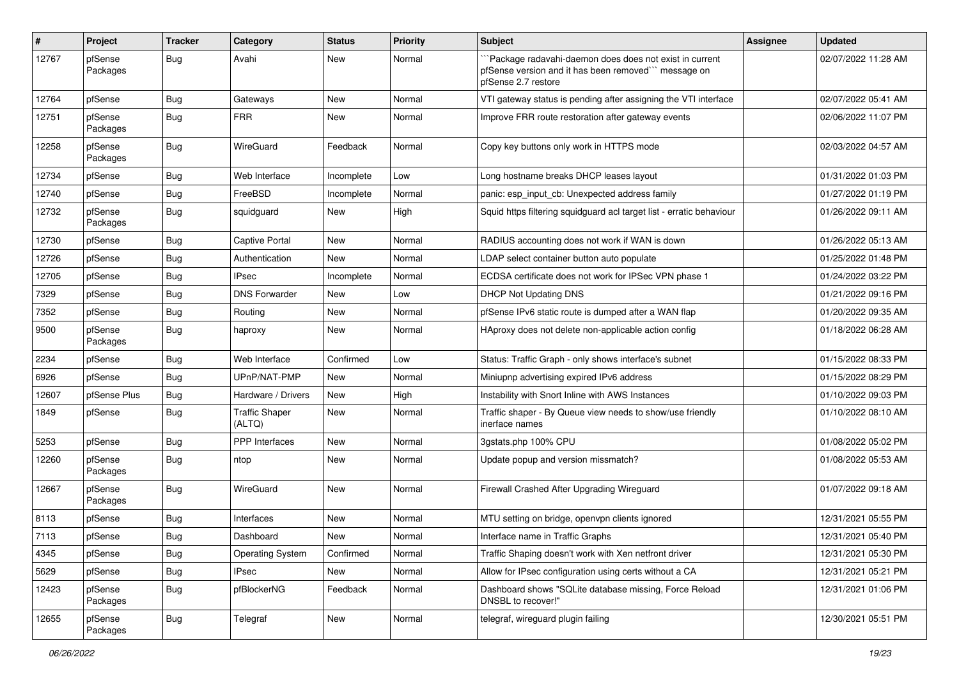| ∦     | Project             | <b>Tracker</b> | Category                        | <b>Status</b> | <b>Priority</b> | <b>Subject</b>                                                                                                                         | <b>Assignee</b> | <b>Updated</b>      |
|-------|---------------------|----------------|---------------------------------|---------------|-----------------|----------------------------------------------------------------------------------------------------------------------------------------|-----------------|---------------------|
| 12767 | pfSense<br>Packages | Bug            | Avahi                           | New           | Normal          | "Package radavahi-daemon does does not exist in current<br>pfSense version and it has been removed"" message on<br>pfSense 2.7 restore |                 | 02/07/2022 11:28 AM |
| 12764 | pfSense             | <b>Bug</b>     | Gateways                        | New           | Normal          | VTI gateway status is pending after assigning the VTI interface                                                                        |                 | 02/07/2022 05:41 AM |
| 12751 | pfSense<br>Packages | <b>Bug</b>     | <b>FRR</b>                      | <b>New</b>    | Normal          | Improve FRR route restoration after gateway events                                                                                     |                 | 02/06/2022 11:07 PM |
| 12258 | pfSense<br>Packages | <b>Bug</b>     | WireGuard                       | Feedback      | Normal          | Copy key buttons only work in HTTPS mode                                                                                               |                 | 02/03/2022 04:57 AM |
| 12734 | pfSense             | Bug            | Web Interface                   | Incomplete    | Low             | Long hostname breaks DHCP leases layout                                                                                                |                 | 01/31/2022 01:03 PM |
| 12740 | pfSense             | <b>Bug</b>     | FreeBSD                         | Incomplete    | Normal          | panic: esp_input_cb: Unexpected address family                                                                                         |                 | 01/27/2022 01:19 PM |
| 12732 | pfSense<br>Packages | <b>Bug</b>     | squidguard                      | New           | High            | Squid https filtering squidguard acl target list - erratic behaviour                                                                   |                 | 01/26/2022 09:11 AM |
| 12730 | pfSense             | <b>Bug</b>     | <b>Captive Portal</b>           | New           | Normal          | RADIUS accounting does not work if WAN is down                                                                                         |                 | 01/26/2022 05:13 AM |
| 12726 | pfSense             | <b>Bug</b>     | Authentication                  | New           | Normal          | LDAP select container button auto populate                                                                                             |                 | 01/25/2022 01:48 PM |
| 12705 | pfSense             | <b>Bug</b>     | <b>IPsec</b>                    | Incomplete    | Normal          | ECDSA certificate does not work for IPSec VPN phase 1                                                                                  |                 | 01/24/2022 03:22 PM |
| 7329  | pfSense             | <b>Bug</b>     | <b>DNS Forwarder</b>            | <b>New</b>    | Low             | <b>DHCP Not Updating DNS</b>                                                                                                           |                 | 01/21/2022 09:16 PM |
| 7352  | pfSense             | <b>Bug</b>     | Routing                         | New           | Normal          | pfSense IPv6 static route is dumped after a WAN flap                                                                                   |                 | 01/20/2022 09:35 AM |
| 9500  | pfSense<br>Packages | <b>Bug</b>     | haproxy                         | New           | Normal          | HAproxy does not delete non-applicable action config                                                                                   |                 | 01/18/2022 06:28 AM |
| 2234  | pfSense             | <b>Bug</b>     | Web Interface                   | Confirmed     | Low             | Status: Traffic Graph - only shows interface's subnet                                                                                  |                 | 01/15/2022 08:33 PM |
| 6926  | pfSense             | <b>Bug</b>     | UPnP/NAT-PMP                    | <b>New</b>    | Normal          | Miniupnp advertising expired IPv6 address                                                                                              |                 | 01/15/2022 08:29 PM |
| 12607 | pfSense Plus        | <b>Bug</b>     | Hardware / Drivers              | New           | High            | Instability with Snort Inline with AWS Instances                                                                                       |                 | 01/10/2022 09:03 PM |
| 1849  | pfSense             | <b>Bug</b>     | <b>Traffic Shaper</b><br>(ALTQ) | New           | Normal          | Traffic shaper - By Queue view needs to show/use friendly<br>inerface names                                                            |                 | 01/10/2022 08:10 AM |
| 5253  | pfSense             | <b>Bug</b>     | PPP Interfaces                  | New           | Normal          | 3gstats.php 100% CPU                                                                                                                   |                 | 01/08/2022 05:02 PM |
| 12260 | pfSense<br>Packages | <b>Bug</b>     | ntop                            | <b>New</b>    | Normal          | Update popup and version missmatch?                                                                                                    |                 | 01/08/2022 05:53 AM |
| 12667 | pfSense<br>Packages | <b>Bug</b>     | WireGuard                       | <b>New</b>    | Normal          | Firewall Crashed After Upgrading Wireguard                                                                                             |                 | 01/07/2022 09:18 AM |
| 8113  | pfSense             | <b>Bug</b>     | Interfaces                      | New           | Normal          | MTU setting on bridge, openvpn clients ignored                                                                                         |                 | 12/31/2021 05:55 PM |
| 7113  | pfSense             | Bug            | Dashboard                       | New           | Normal          | Interface name in Traffic Graphs                                                                                                       |                 | 12/31/2021 05:40 PM |
| 4345  | pfSense             | Bug            | <b>Operating System</b>         | Confirmed     | Normal          | Traffic Shaping doesn't work with Xen netfront driver                                                                                  |                 | 12/31/2021 05:30 PM |
| 5629  | pfSense             | <b>Bug</b>     | <b>IPsec</b>                    | New           | Normal          | Allow for IPsec configuration using certs without a CA                                                                                 |                 | 12/31/2021 05:21 PM |
| 12423 | pfSense<br>Packages | <b>Bug</b>     | pfBlockerNG                     | Feedback      | Normal          | Dashboard shows "SQLite database missing, Force Reload<br>DNSBL to recover!"                                                           |                 | 12/31/2021 01:06 PM |
| 12655 | pfSense<br>Packages | <b>Bug</b>     | Telegraf                        | New           | Normal          | telegraf, wireguard plugin failing                                                                                                     |                 | 12/30/2021 05:51 PM |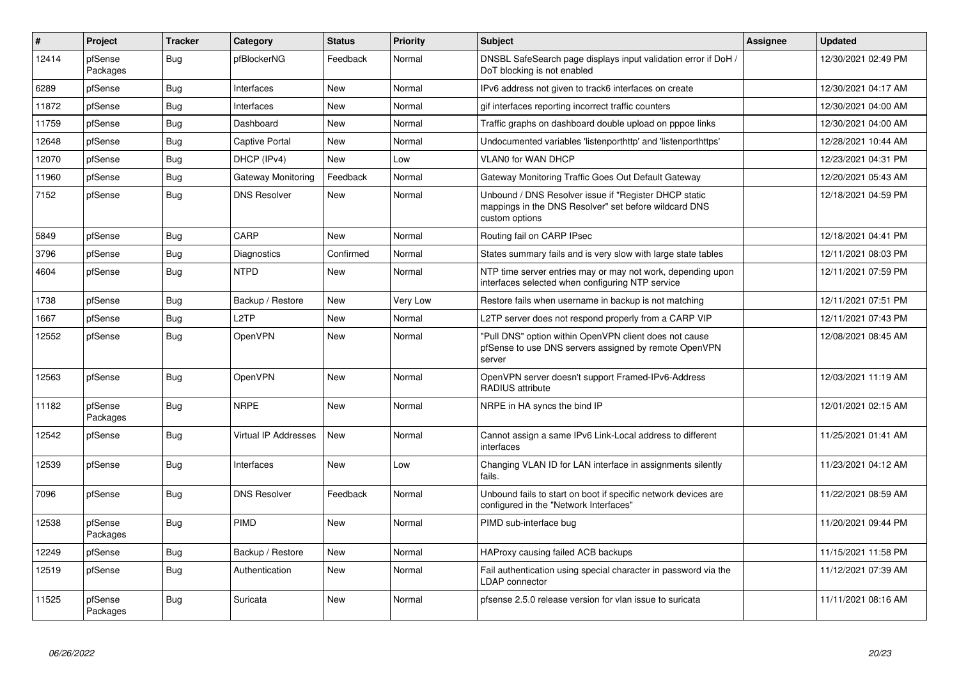| ∦     | Project             | <b>Tracker</b> | Category             | <b>Status</b> | <b>Priority</b> | <b>Subject</b>                                                                                                                   | <b>Assignee</b> | <b>Updated</b>      |
|-------|---------------------|----------------|----------------------|---------------|-----------------|----------------------------------------------------------------------------------------------------------------------------------|-----------------|---------------------|
| 12414 | pfSense<br>Packages | Bug            | pfBlockerNG          | Feedback      | Normal          | DNSBL SafeSearch page displays input validation error if DoH /<br>DoT blocking is not enabled                                    |                 | 12/30/2021 02:49 PM |
| 6289  | pfSense             | Bug            | Interfaces           | <b>New</b>    | Normal          | IPv6 address not given to track6 interfaces on create                                                                            |                 | 12/30/2021 04:17 AM |
| 11872 | pfSense             | <b>Bug</b>     | Interfaces           | <b>New</b>    | Normal          | gif interfaces reporting incorrect traffic counters                                                                              |                 | 12/30/2021 04:00 AM |
| 11759 | pfSense             | Bug            | Dashboard            | <b>New</b>    | Normal          | Traffic graphs on dashboard double upload on pppoe links                                                                         |                 | 12/30/2021 04:00 AM |
| 12648 | pfSense             | Bug            | Captive Portal       | <b>New</b>    | Normal          | Undocumented variables 'listenporthttp' and 'listenporthttps'                                                                    |                 | 12/28/2021 10:44 AM |
| 12070 | pfSense             | <b>Bug</b>     | DHCP (IPv4)          | <b>New</b>    | Low             | <b>VLAN0 for WAN DHCP</b>                                                                                                        |                 | 12/23/2021 04:31 PM |
| 11960 | pfSense             | <b>Bug</b>     | Gateway Monitoring   | Feedback      | Normal          | Gateway Monitoring Traffic Goes Out Default Gateway                                                                              |                 | 12/20/2021 05:43 AM |
| 7152  | pfSense             | Bug            | <b>DNS Resolver</b>  | <b>New</b>    | Normal          | Unbound / DNS Resolver issue if "Register DHCP static<br>mappings in the DNS Resolver" set before wildcard DNS<br>custom options |                 | 12/18/2021 04:59 PM |
| 5849  | pfSense             | Bug            | CARP                 | <b>New</b>    | Normal          | Routing fail on CARP IPsec                                                                                                       |                 | 12/18/2021 04:41 PM |
| 3796  | pfSense             | <b>Bug</b>     | Diagnostics          | Confirmed     | Normal          | States summary fails and is very slow with large state tables                                                                    |                 | 12/11/2021 08:03 PM |
| 4604  | pfSense             | Bug            | <b>NTPD</b>          | <b>New</b>    | Normal          | NTP time server entries may or may not work, depending upon<br>interfaces selected when configuring NTP service                  |                 | 12/11/2021 07:59 PM |
| 1738  | pfSense             | <b>Bug</b>     | Backup / Restore     | <b>New</b>    | Very Low        | Restore fails when username in backup is not matching                                                                            |                 | 12/11/2021 07:51 PM |
| 1667  | pfSense             | <b>Bug</b>     | L <sub>2</sub> TP    | <b>New</b>    | Normal          | L2TP server does not respond properly from a CARP VIP                                                                            |                 | 12/11/2021 07:43 PM |
| 12552 | pfSense             | <b>Bug</b>     | OpenVPN              | <b>New</b>    | Normal          | 'Pull DNS" option within OpenVPN client does not cause<br>pfSense to use DNS servers assigned by remote OpenVPN<br>server        |                 | 12/08/2021 08:45 AM |
| 12563 | pfSense             | <b>Bug</b>     | <b>OpenVPN</b>       | <b>New</b>    | Normal          | OpenVPN server doesn't support Framed-IPv6-Address<br>RADIUS attribute                                                           |                 | 12/03/2021 11:19 AM |
| 11182 | pfSense<br>Packages | <b>Bug</b>     | <b>NRPE</b>          | <b>New</b>    | Normal          | NRPE in HA syncs the bind IP                                                                                                     |                 | 12/01/2021 02:15 AM |
| 12542 | pfSense             | Bug            | Virtual IP Addresses | <b>New</b>    | Normal          | Cannot assign a same IPv6 Link-Local address to different<br>interfaces                                                          |                 | 11/25/2021 01:41 AM |
| 12539 | pfSense             | <b>Bug</b>     | Interfaces           | <b>New</b>    | Low             | Changing VLAN ID for LAN interface in assignments silently<br>fails.                                                             |                 | 11/23/2021 04:12 AM |
| 7096  | pfSense             | Bug            | <b>DNS Resolver</b>  | Feedback      | Normal          | Unbound fails to start on boot if specific network devices are<br>configured in the "Network Interfaces"                         |                 | 11/22/2021 08:59 AM |
| 12538 | pfSense<br>Packages | <b>Bug</b>     | <b>PIMD</b>          | <b>New</b>    | Normal          | PIMD sub-interface bug                                                                                                           |                 | 11/20/2021 09:44 PM |
| 12249 | pfSense             | <b>Bug</b>     | Backup / Restore     | <b>New</b>    | Normal          | HAProxy causing failed ACB backups                                                                                               |                 | 11/15/2021 11:58 PM |
| 12519 | pfSense             | <b>Bug</b>     | Authentication       | <b>New</b>    | Normal          | Fail authentication using special character in password via the<br>LDAP connector                                                |                 | 11/12/2021 07:39 AM |
| 11525 | pfSense<br>Packages | Bug            | Suricata             | <b>New</b>    | Normal          | pfsense 2.5.0 release version for vlan issue to suricata                                                                         |                 | 11/11/2021 08:16 AM |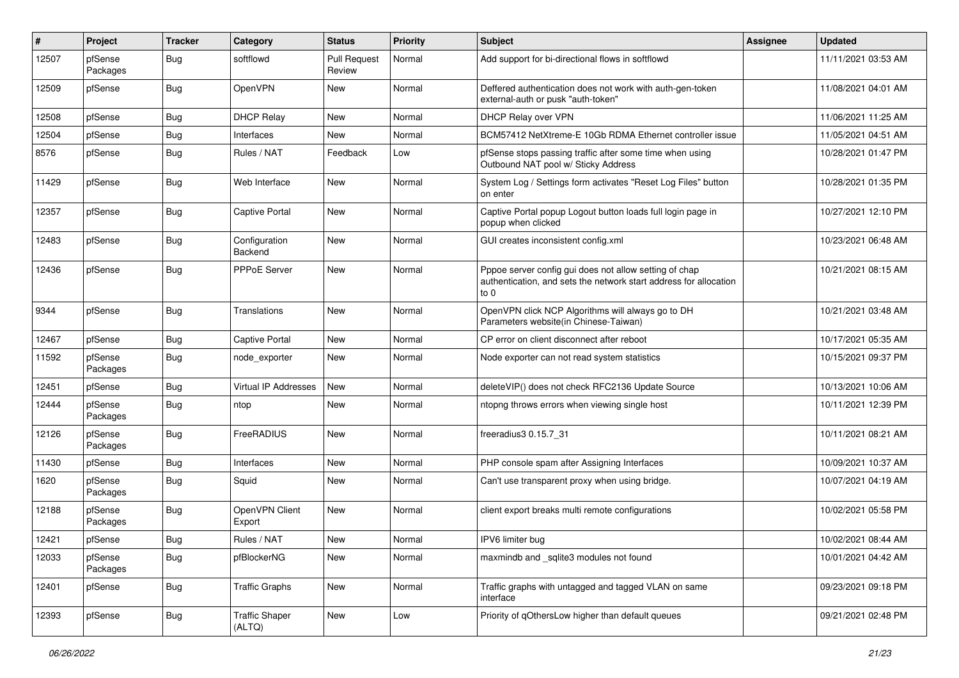| $\vert$ # | Project             | <b>Tracker</b> | Category                        | <b>Status</b>                 | <b>Priority</b> | <b>Subject</b>                                                                                                                      | <b>Assignee</b> | <b>Updated</b>      |
|-----------|---------------------|----------------|---------------------------------|-------------------------------|-----------------|-------------------------------------------------------------------------------------------------------------------------------------|-----------------|---------------------|
| 12507     | pfSense<br>Packages | Bug            | softflowd                       | <b>Pull Request</b><br>Review | Normal          | Add support for bi-directional flows in softflowd                                                                                   |                 | 11/11/2021 03:53 AM |
| 12509     | pfSense             | Bug            | OpenVPN                         | New                           | Normal          | Deffered authentication does not work with auth-gen-token<br>external-auth or pusk "auth-token"                                     |                 | 11/08/2021 04:01 AM |
| 12508     | pfSense             | Bug            | <b>DHCP Relay</b>               | New                           | Normal          | DHCP Relay over VPN                                                                                                                 |                 | 11/06/2021 11:25 AM |
| 12504     | pfSense             | Bug            | Interfaces                      | <b>New</b>                    | Normal          | BCM57412 NetXtreme-E 10Gb RDMA Ethernet controller issue                                                                            |                 | 11/05/2021 04:51 AM |
| 8576      | pfSense             | Bug            | Rules / NAT                     | Feedback                      | Low             | pfSense stops passing traffic after some time when using<br>Outbound NAT pool w/ Sticky Address                                     |                 | 10/28/2021 01:47 PM |
| 11429     | pfSense             | Bug            | Web Interface                   | New                           | Normal          | System Log / Settings form activates "Reset Log Files" button<br>on enter                                                           |                 | 10/28/2021 01:35 PM |
| 12357     | pfSense             | <b>Bug</b>     | <b>Captive Portal</b>           | New                           | Normal          | Captive Portal popup Logout button loads full login page in<br>popup when clicked                                                   |                 | 10/27/2021 12:10 PM |
| 12483     | pfSense             | Bug            | Configuration<br>Backend        | <b>New</b>                    | Normal          | GUI creates inconsistent config.xml                                                                                                 |                 | 10/23/2021 06:48 AM |
| 12436     | pfSense             | Bug            | PPPoE Server                    | <b>New</b>                    | Normal          | Pppoe server config gui does not allow setting of chap<br>authentication, and sets the network start address for allocation<br>to 0 |                 | 10/21/2021 08:15 AM |
| 9344      | pfSense             | Bug            | Translations                    | New                           | Normal          | OpenVPN click NCP Algorithms will always go to DH<br>Parameters website(in Chinese-Taiwan)                                          |                 | 10/21/2021 03:48 AM |
| 12467     | pfSense             | Bug            | Captive Portal                  | <b>New</b>                    | Normal          | CP error on client disconnect after reboot                                                                                          |                 | 10/17/2021 05:35 AM |
| 11592     | pfSense<br>Packages | Bug            | node exporter                   | New                           | Normal          | Node exporter can not read system statistics                                                                                        |                 | 10/15/2021 09:37 PM |
| 12451     | pfSense             | <b>Bug</b>     | Virtual IP Addresses            | New                           | Normal          | deleteVIP() does not check RFC2136 Update Source                                                                                    |                 | 10/13/2021 10:06 AM |
| 12444     | pfSense<br>Packages | Bug            | ntop                            | <b>New</b>                    | Normal          | ntopng throws errors when viewing single host                                                                                       |                 | 10/11/2021 12:39 PM |
| 12126     | pfSense<br>Packages | Bug            | <b>FreeRADIUS</b>               | <b>New</b>                    | Normal          | freeradius3 0.15.7 31                                                                                                               |                 | 10/11/2021 08:21 AM |
| 11430     | pfSense             | Bug            | Interfaces                      | New                           | Normal          | PHP console spam after Assigning Interfaces                                                                                         |                 | 10/09/2021 10:37 AM |
| 1620      | pfSense<br>Packages | Bug            | Squid                           | New                           | Normal          | Can't use transparent proxy when using bridge.                                                                                      |                 | 10/07/2021 04:19 AM |
| 12188     | pfSense<br>Packages | Bug            | OpenVPN Client<br>Export        | New                           | Normal          | client export breaks multi remote configurations                                                                                    |                 | 10/02/2021 05:58 PM |
| 12421     | pfSense             | Bug            | Rules / NAT                     | New                           | Normal          | IPV6 limiter bug                                                                                                                    |                 | 10/02/2021 08:44 AM |
| 12033     | pfSense<br>Packages | Bug            | pfBlockerNG                     | New                           | Normal          | maxmindb and _sqlite3 modules not found                                                                                             |                 | 10/01/2021 04:42 AM |
| 12401     | pfSense             | <b>Bug</b>     | <b>Traffic Graphs</b>           | New                           | Normal          | Traffic graphs with untagged and tagged VLAN on same<br>interface                                                                   |                 | 09/23/2021 09:18 PM |
| 12393     | pfSense             | <b>Bug</b>     | <b>Traffic Shaper</b><br>(ALTQ) | New                           | Low             | Priority of qOthersLow higher than default queues                                                                                   |                 | 09/21/2021 02:48 PM |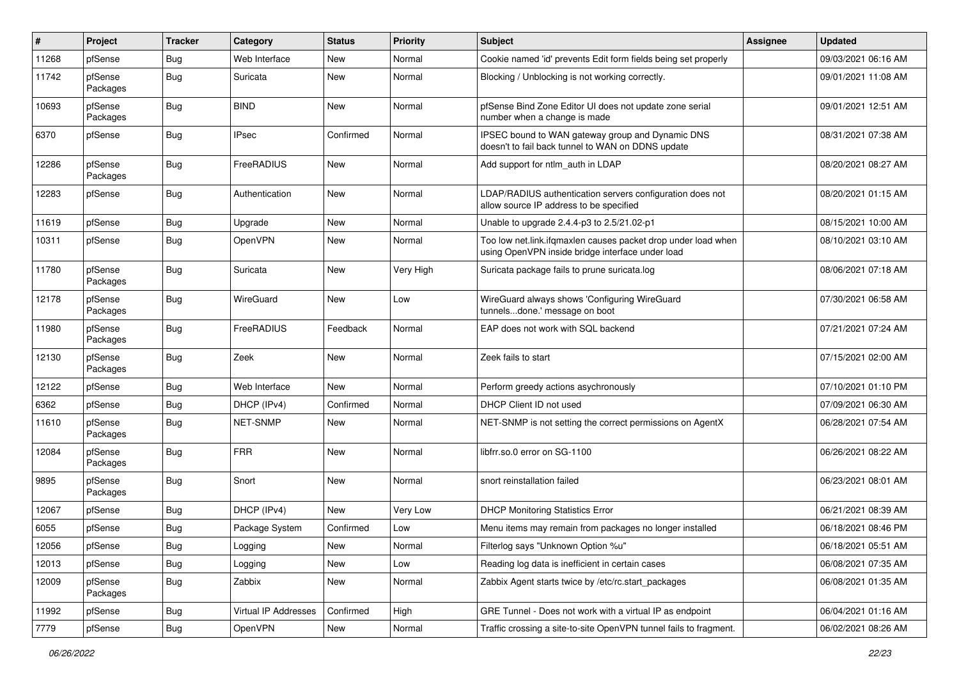| $\vert$ # | Project             | <b>Tracker</b> | Category             | <b>Status</b> | <b>Priority</b> | Subject                                                                                                           | <b>Assignee</b> | <b>Updated</b>      |
|-----------|---------------------|----------------|----------------------|---------------|-----------------|-------------------------------------------------------------------------------------------------------------------|-----------------|---------------------|
| 11268     | pfSense             | Bug            | Web Interface        | New           | Normal          | Cookie named 'id' prevents Edit form fields being set properly                                                    |                 | 09/03/2021 06:16 AM |
| 11742     | pfSense<br>Packages | <b>Bug</b>     | Suricata             | <b>New</b>    | Normal          | Blocking / Unblocking is not working correctly.                                                                   |                 | 09/01/2021 11:08 AM |
| 10693     | pfSense<br>Packages | <b>Bug</b>     | <b>BIND</b>          | New           | Normal          | pfSense Bind Zone Editor UI does not update zone serial<br>number when a change is made                           |                 | 09/01/2021 12:51 AM |
| 6370      | pfSense             | <b>Bug</b>     | <b>IPsec</b>         | Confirmed     | Normal          | IPSEC bound to WAN gateway group and Dynamic DNS<br>doesn't to fail back tunnel to WAN on DDNS update             |                 | 08/31/2021 07:38 AM |
| 12286     | pfSense<br>Packages | <b>Bug</b>     | FreeRADIUS           | New           | Normal          | Add support for ntlm_auth in LDAP                                                                                 |                 | 08/20/2021 08:27 AM |
| 12283     | pfSense             | Bug            | Authentication       | New           | Normal          | LDAP/RADIUS authentication servers configuration does not<br>allow source IP address to be specified              |                 | 08/20/2021 01:15 AM |
| 11619     | pfSense             | <b>Bug</b>     | Upgrade              | New           | Normal          | Unable to upgrade 2.4.4-p3 to 2.5/21.02-p1                                                                        |                 | 08/15/2021 10:00 AM |
| 10311     | pfSense             | Bug            | OpenVPN              | New           | Normal          | Too low net.link.ifqmaxlen causes packet drop under load when<br>using OpenVPN inside bridge interface under load |                 | 08/10/2021 03:10 AM |
| 11780     | pfSense<br>Packages | Bug            | Suricata             | New           | Very High       | Suricata package fails to prune suricata.log                                                                      |                 | 08/06/2021 07:18 AM |
| 12178     | pfSense<br>Packages | <b>Bug</b>     | WireGuard            | New           | Low             | WireGuard always shows 'Configuring WireGuard<br>tunnelsdone.' message on boot                                    |                 | 07/30/2021 06:58 AM |
| 11980     | pfSense<br>Packages | <b>Bug</b>     | FreeRADIUS           | Feedback      | Normal          | EAP does not work with SQL backend                                                                                |                 | 07/21/2021 07:24 AM |
| 12130     | pfSense<br>Packages | Bug            | Zeek                 | New           | Normal          | Zeek fails to start                                                                                               |                 | 07/15/2021 02:00 AM |
| 12122     | pfSense             | <b>Bug</b>     | Web Interface        | New           | Normal          | Perform greedy actions asychronously                                                                              |                 | 07/10/2021 01:10 PM |
| 6362      | pfSense             | Bug            | DHCP (IPv4)          | Confirmed     | Normal          | DHCP Client ID not used                                                                                           |                 | 07/09/2021 06:30 AM |
| 11610     | pfSense<br>Packages | <b>Bug</b>     | <b>NET-SNMP</b>      | New           | Normal          | NET-SNMP is not setting the correct permissions on AgentX                                                         |                 | 06/28/2021 07:54 AM |
| 12084     | pfSense<br>Packages | <b>Bug</b>     | <b>FRR</b>           | New           | Normal          | libfrr.so.0 error on SG-1100                                                                                      |                 | 06/26/2021 08:22 AM |
| 9895      | pfSense<br>Packages | <b>Bug</b>     | Snort                | <b>New</b>    | Normal          | snort reinstallation failed                                                                                       |                 | 06/23/2021 08:01 AM |
| 12067     | pfSense             | Bug            | DHCP (IPv4)          | <b>New</b>    | Very Low        | <b>DHCP Monitoring Statistics Error</b>                                                                           |                 | 06/21/2021 08:39 AM |
| 6055      | pfSense             | Bug            | Package System       | Confirmed     | Low             | Menu items may remain from packages no longer installed                                                           |                 | 06/18/2021 08:46 PM |
| 12056     | pfSense             | <b>Bug</b>     | Logging              | New           | Normal          | Filterlog says "Unknown Option %u"                                                                                |                 | 06/18/2021 05:51 AM |
| 12013     | pfSense             | <b>Bug</b>     | Logging              | New           | Low             | Reading log data is inefficient in certain cases                                                                  |                 | 06/08/2021 07:35 AM |
| 12009     | pfSense<br>Packages | <b>Bug</b>     | Zabbix               | New           | Normal          | Zabbix Agent starts twice by /etc/rc.start_packages                                                               |                 | 06/08/2021 01:35 AM |
| 11992     | pfSense             | <b>Bug</b>     | Virtual IP Addresses | Confirmed     | High            | GRE Tunnel - Does not work with a virtual IP as endpoint                                                          |                 | 06/04/2021 01:16 AM |
| 7779      | pfSense             | Bug            | OpenVPN              | New           | Normal          | Traffic crossing a site-to-site OpenVPN tunnel fails to fragment.                                                 |                 | 06/02/2021 08:26 AM |